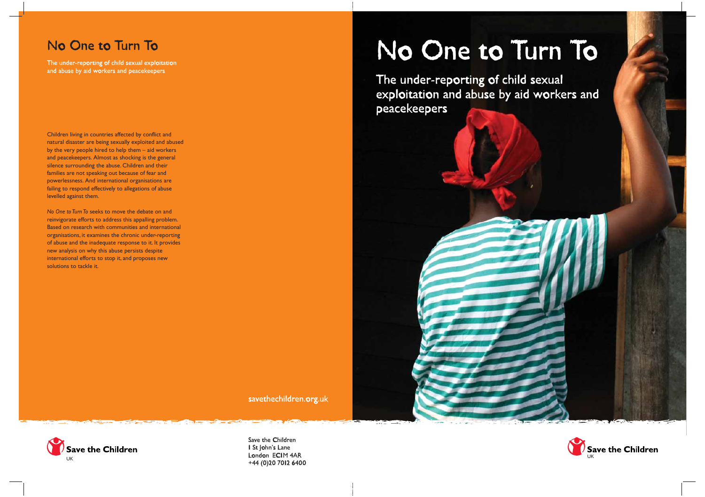# No One to Turn To

The under-reporting of child sexual exploitation and abuse by aid workers and peacekeepers

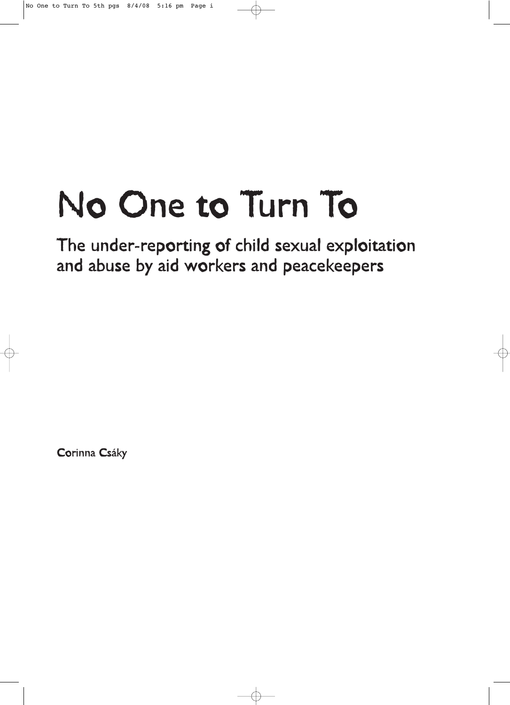# No One to Turn To

The under-reporting of child sexual exploitation and abuse by aid workers and peacekeepers

Corinna Csáky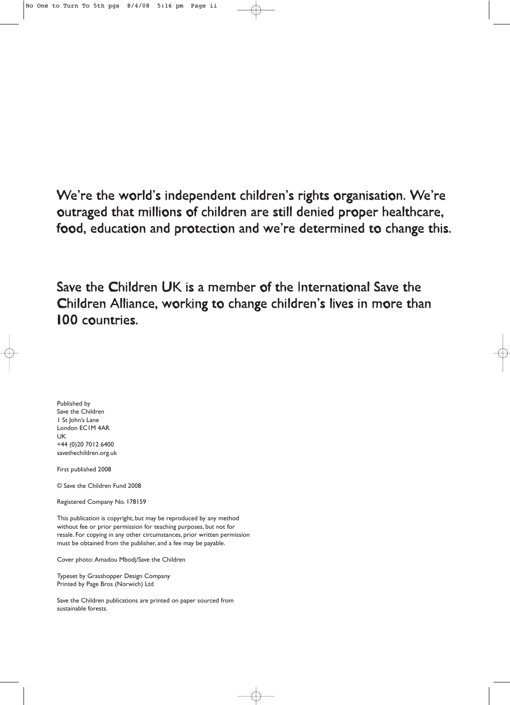We're the world's independent children's rights organisation. We're outraged that millions of children are still denied proper healthcare, food, education and protection and we're determined to change this.

Save the Children UK is a member of the International Save the Children Alliance, working to change children's lives in more than 100 countries.

Published by Save the Children 1 St John's Lane London EC1M 4AR UK +44 (0)20 7012 6400 savethechildren.org.uk

First published 2008

© Save the Children Fund 2008

Registered Company No. 178159

This publication is copyright, but may be reproduced by any method without fee or prior permission for teaching purposes, but not for resale. For copying in any other circumstances, prior written permission must be obtained from the publisher, and a fee may be payable.

Cover photo: Amadou Mbodj/Save the Children

Typeset by Grasshopper Design Company Printed by Page Bros (Norwich) Ltd

Save the Children publications are printed on paper sourced from sustainable forests.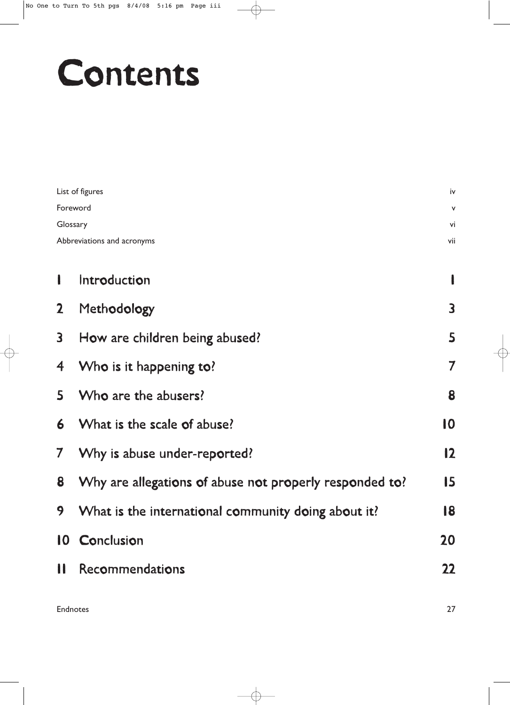# Contents

| List of figures            |                                                         |               |  |  |
|----------------------------|---------------------------------------------------------|---------------|--|--|
| Foreword                   |                                                         |               |  |  |
| Glossary                   |                                                         |               |  |  |
| Abbreviations and acronyms |                                                         |               |  |  |
|                            |                                                         |               |  |  |
| ı                          | Introduction                                            |               |  |  |
| $\mathbf{2}$               | Methodology                                             | 3             |  |  |
| 3                          | How are children being abused?                          | 5             |  |  |
| 4                          | Who is it happening to?                                 | 7             |  |  |
| 5                          | Who are the abusers?                                    | 8             |  |  |
| 6                          | What is the scale of abuse?                             | 10            |  |  |
| $\mathcal I$               | Why is abuse under-reported?                            | $\mathbf{12}$ |  |  |
| 8                          | Why are allegations of abuse not properly responded to? | 15            |  |  |
| 9                          | What is the international community doing about it?     | 18            |  |  |
| 10                         | Conclusion                                              | 20            |  |  |
| Н                          | Recommendations                                         | 22            |  |  |
|                            |                                                         |               |  |  |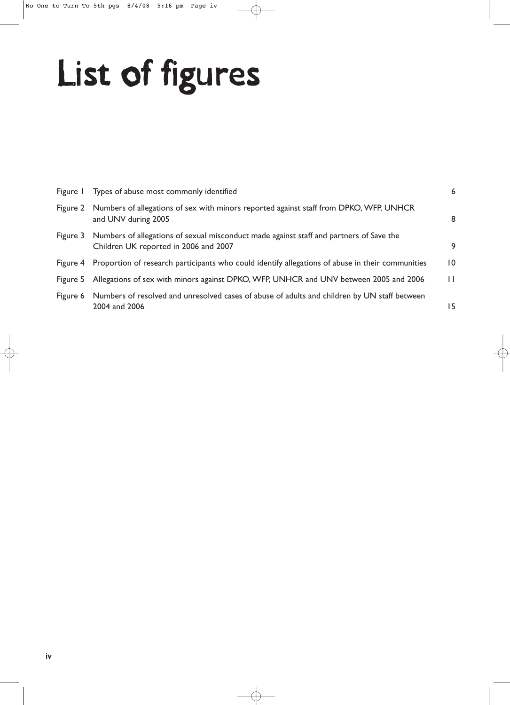# List of figures

| Figure I | Types of abuse most commonly identified                                                                                                   | 6               |
|----------|-------------------------------------------------------------------------------------------------------------------------------------------|-----------------|
| Figure 2 | Numbers of allegations of sex with minors reported against staff from DPKO, WFP, UNHCR<br>and UNV during 2005                             | 8               |
|          | Figure 3 Numbers of allegations of sexual misconduct made against staff and partners of Save the<br>Children UK reported in 2006 and 2007 | 9               |
|          | Figure 4 Proportion of research participants who could identify allegations of abuse in their communities                                 | $\overline{10}$ |
| Figure 5 | Allegations of sex with minors against DPKO, WFP, UNHCR and UNV between 2005 and 2006                                                     | П               |
| Figure 6 | Numbers of resolved and unresolved cases of abuse of adults and children by UN staff between<br>2004 and 2006                             | 15              |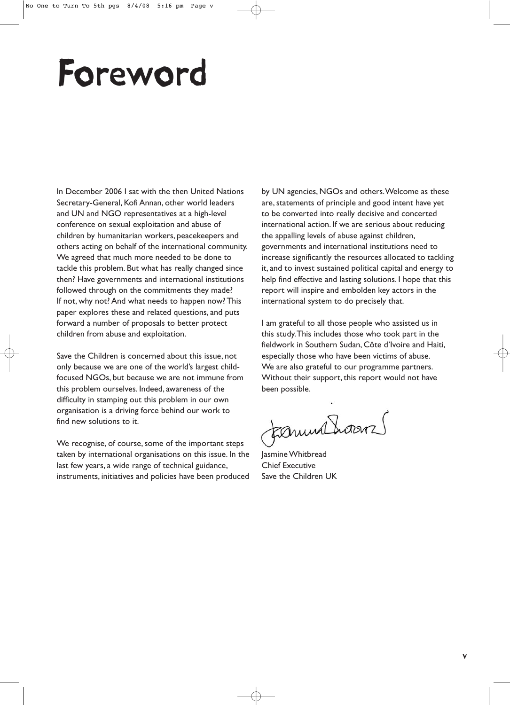# Foreword

In December 2006 I sat with the then United Nations Secretary-General, Kofi Annan, other world leaders and UN and NGO representatives at a high-level conference on sexual exploitation and abuse of children by humanitarian workers, peacekeepers and others acting on behalf of the international community. We agreed that much more needed to be done to tackle this problem. But what has really changed since then? Have governments and international institutions followed through on the commitments they made? If not, why not? And what needs to happen now? This paper explores these and related questions, and puts forward a number of proposals to better protect children from abuse and exploitation.

Save the Children is concerned about this issue, not only because we are one of the world's largest childfocused NGOs, but because we are not immune from this problem ourselves. Indeed, awareness of the difficulty in stamping out this problem in our own organisation is a driving force behind our work to find new solutions to it.

We recognise, of course, some of the important steps taken by international organisations on this issue. In the last few years, a wide range of technical guidance, instruments, initiatives and policies have been produced

by UN agencies, NGOs and others.Welcome as these are, statements of principle and good intent have yet to be converted into really decisive and concerted international action. If we are serious about reducing the appalling levels of abuse against children, governments and international institutions need to increase significantly the resources allocated to tackling it, and to invest sustained political capital and energy to help find effective and lasting solutions. I hope that this report will inspire and embolden key actors in the international system to do precisely that.

I am grateful to all those people who assisted us in this study.This includes those who took part in the fieldwork in Southern Sudan, Côte d'Ivoire and Haiti, especially those who have been victims of abuse. We are also grateful to our programme partners. Without their support, this report would not have been possible.

Formulhorens

Jasmine Whitbread Chief Executive Save the Children UK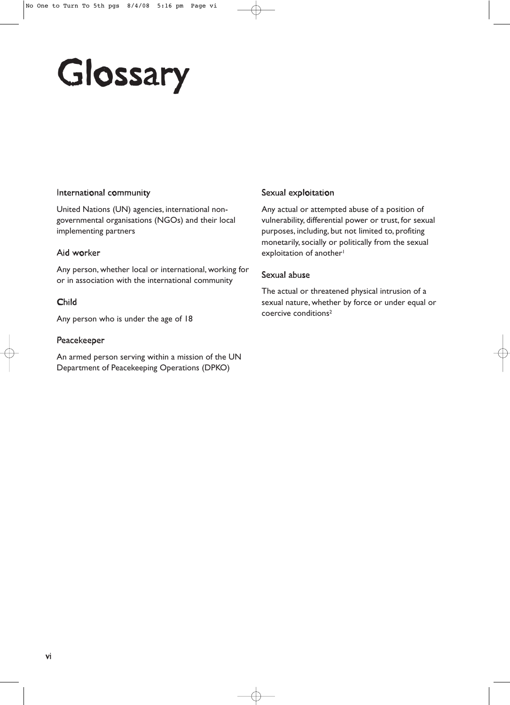# Glossary

#### International community

United Nations (UN) agencies, international nongovernmental organisations (NGOs) and their local implementing partners

#### Aid worker

Any person, whether local or international, working for or in association with the international community

#### Child

Any person who is under the age of 18

#### Peacekeeper

An armed person serving within a mission of the UN Department of Peacekeeping Operations (DPKO)

#### Sexual exploitation

Any actual or attempted abuse of a position of vulnerability, differential power or trust, for sexual purposes, including, but not limited to, profiting monetarily, socially or politically from the sexual exploitation of another<sup>1</sup>

#### Sexual abuse

The actual or threatened physical intrusion of a sexual nature, whether by force or under equal or coercive conditions2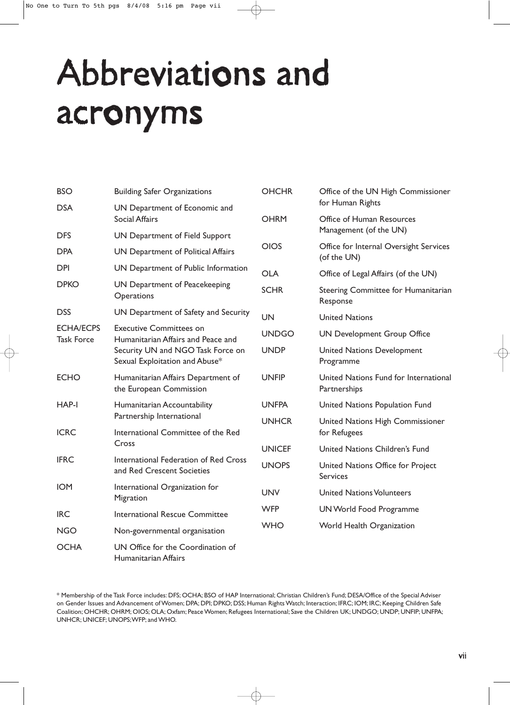# Abbreviations and acronyms

| <b>BSO</b>                            | <b>Building Safer Organizations</b>                                                                                                         | <b>OHCHR</b>  | Office of the UN High Commissioner                    |
|---------------------------------------|---------------------------------------------------------------------------------------------------------------------------------------------|---------------|-------------------------------------------------------|
| <b>DSA</b>                            | UN Department of Economic and<br><b>Social Affairs</b>                                                                                      | <b>OHRM</b>   | for Human Rights<br>Office of Human Resources         |
| <b>DFS</b>                            | UN Department of Field Support                                                                                                              |               | Management (of the UN)                                |
| <b>DPA</b>                            | UN Department of Political Affairs                                                                                                          | <b>OIOS</b>   | Office for Internal Oversight Services<br>(of the UN) |
| <b>DPI</b>                            | UN Department of Public Information                                                                                                         | <b>OLA</b>    | Office of Legal Affairs (of the UN)                   |
| <b>DPKO</b>                           | UN Department of Peacekeeping<br>Operations                                                                                                 | <b>SCHR</b>   | Steering Committee for Humanitarian<br>Response       |
| <b>DSS</b>                            | UN Department of Safety and Security                                                                                                        | <b>UN</b>     | <b>United Nations</b>                                 |
| <b>ECHA/ECPS</b><br><b>Task Force</b> | <b>Executive Committees on</b><br>Humanitarian Affairs and Peace and<br>Security UN and NGO Task Force on<br>Sexual Exploitation and Abuse* | <b>UNDGO</b>  | <b>UN Development Group Office</b>                    |
|                                       |                                                                                                                                             | <b>UNDP</b>   | <b>United Nations Development</b><br>Programme        |
| <b>ECHO</b>                           | Humanitarian Affairs Department of<br>the European Commission                                                                               | <b>UNFIP</b>  | United Nations Fund for International<br>Partnerships |
| HAP-I                                 | Humanitarian Accountability<br>Partnership International<br>International Committee of the Red<br>Cross                                     | <b>UNFPA</b>  | United Nations Population Fund                        |
| <b>ICRC</b>                           |                                                                                                                                             | <b>UNHCR</b>  | United Nations High Commissioner<br>for Refugees      |
|                                       |                                                                                                                                             | <b>UNICEF</b> | United Nations Children's Fund                        |
| <b>IFRC</b>                           | International Federation of Red Cross<br>and Red Crescent Societies                                                                         | <b>UNOPS</b>  | United Nations Office for Project<br><b>Services</b>  |
| <b>IOM</b>                            | International Organization for<br>Migration                                                                                                 | <b>UNV</b>    | <b>United Nations Volunteers</b>                      |
| <b>IRC</b>                            | International Rescue Committee<br>Non-governmental organisation                                                                             | <b>WFP</b>    | <b>UN World Food Programme</b>                        |
| <b>NGO</b>                            |                                                                                                                                             | <b>WHO</b>    | World Health Organization                             |
| <b>OCHA</b>                           | UN Office for the Coordination of<br>Humanitarian Affairs                                                                                   |               |                                                       |

<sup>\*</sup> Membership of the Task Force includes: DFS; OCHA; BSO of HAP International; Christian Children's Fund; DESA/Office of the Special Adviser on Gender Issues and Advancement of Women; DPA; DPI; DPKO; DSS; Human Rights Watch; Interaction; IFRC; IOM; IRC; Keeping Children Safe Coalition; OHCHR; OHRM; OIOS; OLA; Oxfam; Peace Women; Refugees International; Save the Children UK; UNDGO; UNDP; UNFIP; UNFPA; UNHCR; UNICEF; UNOPS;WFP; and WHO.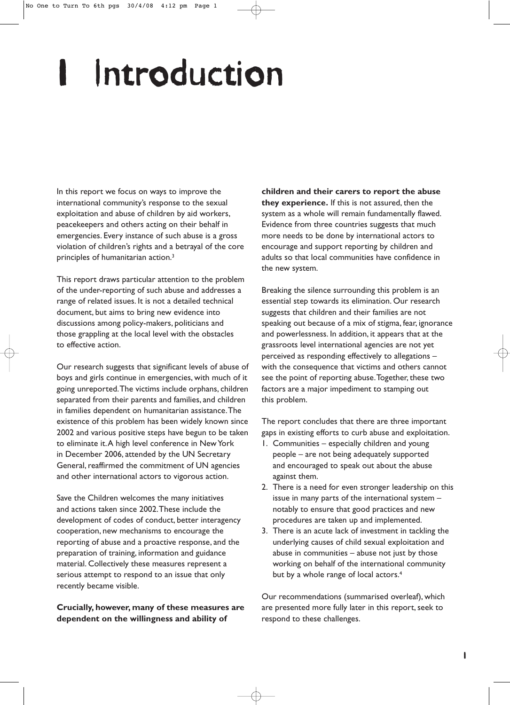# Introduction

In this report we focus on ways to improve the international community's response to the sexual exploitation and abuse of children by aid workers, peacekeepers and others acting on their behalf in emergencies. Every instance of such abuse is a gross violation of children's rights and a betrayal of the core principles of humanitarian action.3

This report draws particular attention to the problem of the under-reporting of such abuse and addresses a range of related issues. It is not a detailed technical document, but aims to bring new evidence into discussions among policy-makers, politicians and those grappling at the local level with the obstacles to effective action.

Our research suggests that significant levels of abuse of boys and girls continue in emergencies, with much of it going unreported.The victims include orphans, children separated from their parents and families, and children in families dependent on humanitarian assistance.The existence of this problem has been widely known since 2002 and various positive steps have begun to be taken to eliminate it.A high level conference in New York in December 2006, attended by the UN Secretary General, reaffirmed the commitment of UN agencies and other international actors to vigorous action.

Save the Children welcomes the many initiatives and actions taken since 2002.These include the development of codes of conduct, better interagency cooperation, new mechanisms to encourage the reporting of abuse and a proactive response, and the preparation of training, information and guidance material. Collectively these measures represent a serious attempt to respond to an issue that only recently became visible.

**Crucially, however, many of these measures are dependent on the willingness and ability of**

**children and their carers to report the abuse they experience.** If this is not assured, then the system as a whole will remain fundamentally flawed. Evidence from three countries suggests that much more needs to be done by international actors to encourage and support reporting by children and adults so that local communities have confidence in the new system.

Breaking the silence surrounding this problem is an essential step towards its elimination. Our research suggests that children and their families are not speaking out because of a mix of stigma, fear, ignorance and powerlessness. In addition, it appears that at the grassroots level international agencies are not yet perceived as responding effectively to allegations – with the consequence that victims and others cannot see the point of reporting abuse.Together, these two factors are a major impediment to stamping out this problem.

The report concludes that there are three important gaps in existing efforts to curb abuse and exploitation.

- 1. Communities especially children and young people – are not being adequately supported and encouraged to speak out about the abuse against them.
- 2. There is a need for even stronger leadership on this issue in many parts of the international system – notably to ensure that good practices and new procedures are taken up and implemented.
- 3. There is an acute lack of investment in tackling the underlying causes of child sexual exploitation and abuse in communities – abuse not just by those working on behalf of the international community but by a whole range of local actors.<sup>4</sup>

Our recommendations (summarised overleaf), which are presented more fully later in this report, seek to respond to these challenges.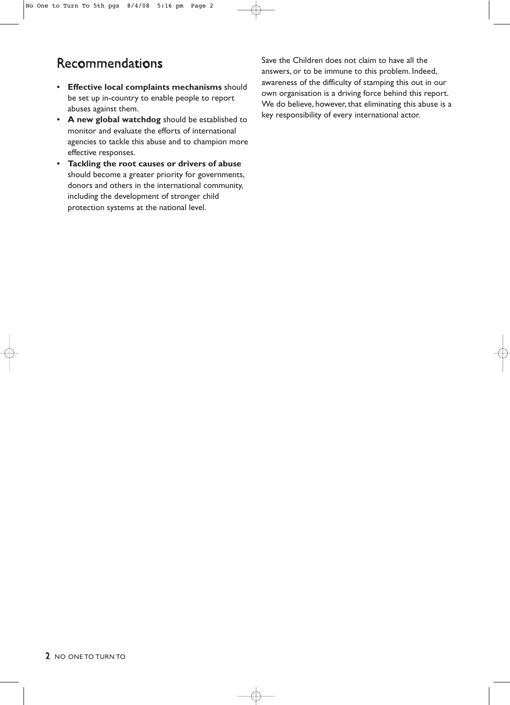## Recommendations

- **Effective local complaints mechanisms** should be set up in-country to enable people to report abuses against them.
- **A new global watchdog** should be established to monitor and evaluate the efforts of international agencies to tackle this abuse and to champion more effective responses.
- **Tackling the root causes or drivers of abuse** should become a greater priority for governments, donors and others in the international community, including the development of stronger child protection systems at the national level.

Save the Children does not claim to have all the answers, or to be immune to this problem. Indeed, awareness of the difficulty of stamping this out in our own organisation is a driving force behind this report. We do believe, however, that eliminating this abuse is a key responsibility of every international actor.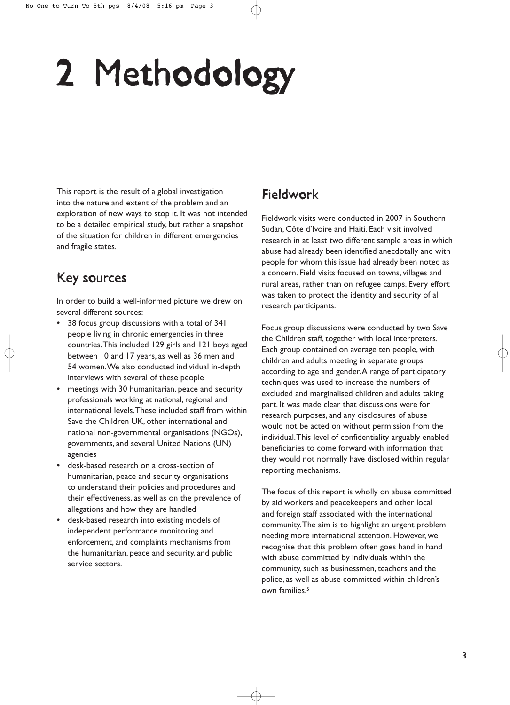# 2 Methodology

This report is the result of a global investigation into the nature and extent of the problem and an exploration of new ways to stop it. It was not intended to be a detailed empirical study, but rather a snapshot of the situation for children in different emergencies and fragile states.

## Key sources

In order to build a well-informed picture we drew on several different sources:

- 38 focus group discussions with a total of 341 people living in chronic emergencies in three countries.This included 129 girls and 121 boys aged between 10 and 17 years, as well as 36 men and 54 women.We also conducted individual in-depth interviews with several of these people
- meetings with 30 humanitarian, peace and security professionals working at national, regional and international levels.These included staff from within Save the Children UK, other international and national non-governmental organisations (NGOs), governments, and several United Nations (UN) agencies
- desk-based research on a cross-section of humanitarian, peace and security organisations to understand their policies and procedures and their effectiveness, as well as on the prevalence of allegations and how they are handled
- desk-based research into existing models of independent performance monitoring and enforcement, and complaints mechanisms from the humanitarian, peace and security, and public service sectors.

## Fieldwork

Fieldwork visits were conducted in 2007 in Southern Sudan, Côte d'Ivoire and Haiti. Each visit involved research in at least two different sample areas in which abuse had already been identified anecdotally and with people for whom this issue had already been noted as a concern. Field visits focused on towns, villages and rural areas, rather than on refugee camps. Every effort was taken to protect the identity and security of all research participants.

Focus group discussions were conducted by two Save the Children staff, together with local interpreters. Each group contained on average ten people, with children and adults meeting in separate groups according to age and gender.A range of participatory techniques was used to increase the numbers of excluded and marginalised children and adults taking part. It was made clear that discussions were for research purposes, and any disclosures of abuse would not be acted on without permission from the individual.This level of confidentiality arguably enabled beneficiaries to come forward with information that they would not normally have disclosed within regular reporting mechanisms.

The focus of this report is wholly on abuse committed by aid workers and peacekeepers and other local and foreign staff associated with the international community.The aim is to highlight an urgent problem needing more international attention. However, we recognise that this problem often goes hand in hand with abuse committed by individuals within the community, such as businessmen, teachers and the police, as well as abuse committed within children's own families.5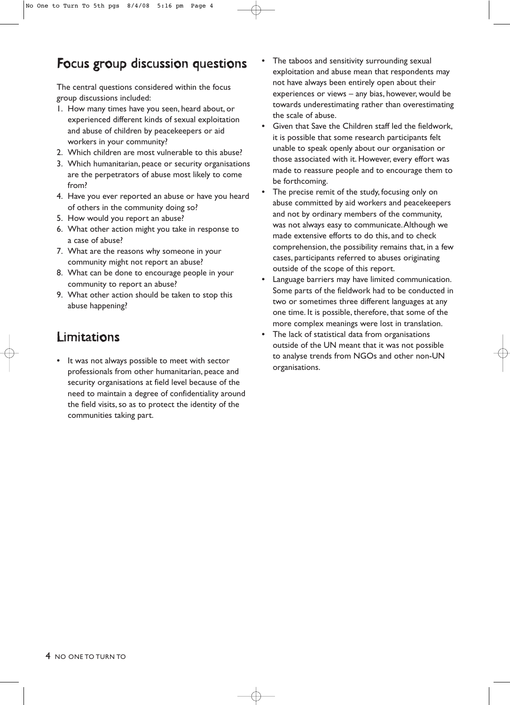## Focus group discussion questions

The central questions considered within the focus group discussions included:

- 1. How many times have you seen, heard about, or experienced different kinds of sexual exploitation and abuse of children by peacekeepers or aid workers in your community?
- 2. Which children are most vulnerable to this abuse?
- 3. Which humanitarian, peace or security organisations are the perpetrators of abuse most likely to come from?
- 4. Have you ever reported an abuse or have you heard of others in the community doing so?
- 5. How would you report an abuse?
- 6. What other action might you take in response to a case of abuse?
- 7. What are the reasons why someone in your community might not report an abuse?
- 8. What can be done to encourage people in your community to report an abuse?
- 9. What other action should be taken to stop this abuse happening?

## Limitations

• It was not always possible to meet with sector professionals from other humanitarian, peace and security organisations at field level because of the need to maintain a degree of confidentiality around the field visits, so as to protect the identity of the communities taking part.

- The taboos and sensitivity surrounding sexual exploitation and abuse mean that respondents may not have always been entirely open about their experiences or views – any bias, however, would be towards underestimating rather than overestimating the scale of abuse.
- Given that Save the Children staff led the fieldwork, it is possible that some research participants felt unable to speak openly about our organisation or those associated with it. However, every effort was made to reassure people and to encourage them to be forthcoming.
- The precise remit of the study, focusing only on abuse committed by aid workers and peacekeepers and not by ordinary members of the community, was not always easy to communicate.Although we made extensive efforts to do this, and to check comprehension, the possibility remains that, in a few cases, participants referred to abuses originating outside of the scope of this report.
- Language barriers may have limited communication. Some parts of the fieldwork had to be conducted in two or sometimes three different languages at any one time. It is possible, therefore, that some of the more complex meanings were lost in translation.
- The lack of statistical data from organisations outside of the UN meant that it was not possible to analyse trends from NGOs and other non-UN organisations.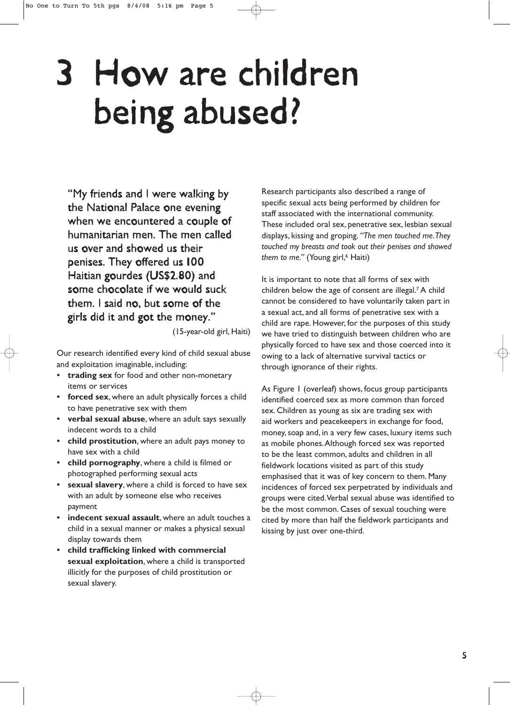# 3 How are children being abused?

"My friends and I were walking by the National Palace one evening when we encountered a couple of humanitarian men. The men called us over and showed us their penises. They offered us 100 Haitian gourdes (US\$2.80) and some chocolate if we would suck them. I said no, but some of the girls did it and got the money."

(15-year-old girl, Haiti)

Our research identified every kind of child sexual abuse and exploitation imaginable, including:

- **trading sex** for food and other non-monetary items or services
- **forced sex**, where an adult physically forces a child to have penetrative sex with them
- **verbal sexual abuse**, where an adult says sexually indecent words to a child
- **child prostitution**, where an adult pays money to have sex with a child
- **child pornography**, where a child is filmed or photographed performing sexual acts
- **sexual slavery**, where a child is forced to have sex with an adult by someone else who receives payment
- **indecent sexual assault**, where an adult touches a child in a sexual manner or makes a physical sexual display towards them
- **child trafficking linked with commercial sexual exploitation**, where a child is transported illicitly for the purposes of child prostitution or sexual slavery.

Research participants also described a range of specific sexual acts being performed by children for staff associated with the international community. These included oral sex, penetrative sex, lesbian sexual displays, kissing and groping. *"The men touched me.They touched my breasts and took out their penises and showed* them to me." (Young girl,<sup>6</sup> Haiti)

It is important to note that all forms of sex with children below the age of consent are illegal.7 A child cannot be considered to have voluntarily taken part in a sexual act, and all forms of penetrative sex with a child are rape. However, for the purposes of this study we have tried to distinguish between children who are physically forced to have sex and those coerced into it owing to a lack of alternative survival tactics or through ignorance of their rights.

As Figure 1 (overleaf) shows, focus group participants identified coerced sex as more common than forced sex. Children as young as six are trading sex with aid workers and peacekeepers in exchange for food, money, soap and, in a very few cases, luxury items such as mobile phones.Although forced sex was reported to be the least common, adults and children in all fieldwork locations visited as part of this study emphasised that it was of key concern to them. Many incidences of forced sex perpetrated by individuals and groups were cited.Verbal sexual abuse was identified to be the most common. Cases of sexual touching were cited by more than half the fieldwork participants and kissing by just over one-third.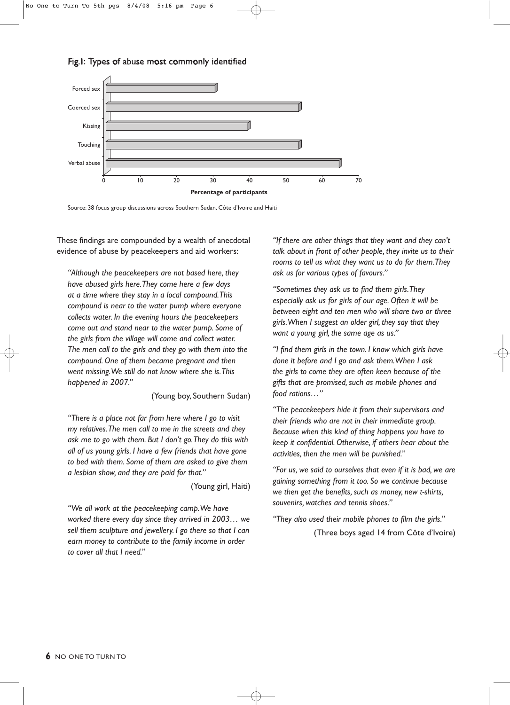#### Fig.1: Types of abuse most commonly identified



Source: 38 focus group discussions across Southern Sudan, Côte d'Ivoire and Haiti

These findings are compounded by a wealth of anecdotal evidence of abuse by peacekeepers and aid workers:

*"Although the peacekeepers are not based here, they have abused girls here.They come here a few days at a time where they stay in a local compound.This compound is near to the water pump where everyone collects water. In the evening hours the peacekeepers come out and stand near to the water pump. Some of the girls from the village will come and collect water. The men call to the girls and they go with them into the compound. One of them became pregnant and then went missing.We still do not know where she is.This happened in 2007."*

(Young boy, Southern Sudan)

*"There is a place not far from here where I go to visit my relatives.The men call to me in the streets and they ask me to go with them. But I don't go.They do this with all of us young girls. I have a few friends that have gone to bed with them. Some of them are asked to give them a lesbian show, and they are paid for that."*

(Young girl, Haiti)

*"We all work at the peacekeeping camp.We have worked there every day since they arrived in 2003… we sell them sculpture and jewellery. I go there so that I can earn money to contribute to the family income in order to cover all that I need."*

*"If there are other things that they want and they can't talk about in front of other people, they invite us to their rooms to tell us what they want us to do for them.They ask us for various types of favours."*

*"Sometimes they ask us to find them girls.They especially ask us for girls of our age. Often it will be between eight and ten men who will share two or three girls.When I suggest an older girl, they say that they want a young girl, the same age as us."*

*"I find them girls in the town. I know which girls have done it before and I go and ask them.When I ask the girls to come they are often keen because of the gifts that are promised, such as mobile phones and food rations…"*

*"The peacekeepers hide it from their supervisors and their friends who are not in their immediate group. Because when this kind of thing happens you have to keep it confidential. Otherwise, if others hear about the activities, then the men will be punished."*

*"For us, we said to ourselves that even if it is bad, we are gaining something from it too. So we continue because we then get the benefits, such as money, new t-shirts, souvenirs, watches and tennis shoes."*

*"They also used their mobile phones to film the girls."*

(Three boys aged 14 from Côte d'Ivoire)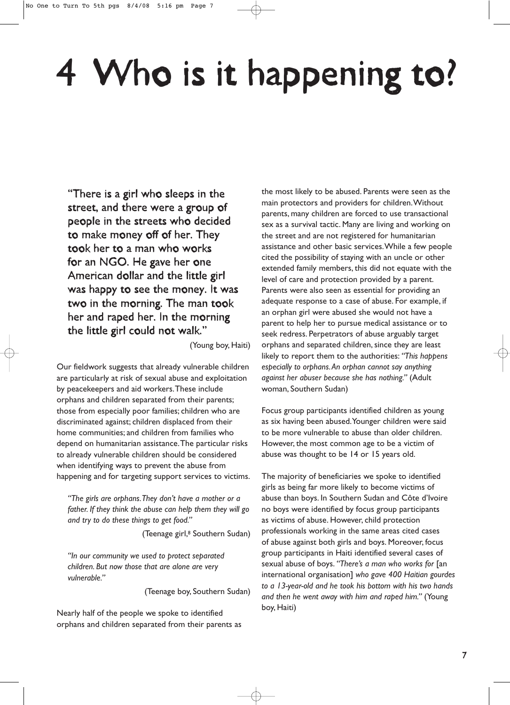# 4 Who is it happening to?

"There is a girl who sleeps in the street, and there were a group of people in the streets who decided to make money off of her. They took her to a man who works for an NGO. He gave her one American dollar and the little girl was happy to see the money. It was two in the morning. The man took her and raped her. In the morning the little girl could not walk."

(Young boy, Haiti)

Our fieldwork suggests that already vulnerable children are particularly at risk of sexual abuse and exploitation by peacekeepers and aid workers.These include orphans and children separated from their parents; those from especially poor families; children who are discriminated against; children displaced from their home communities; and children from families who depend on humanitarian assistance.The particular risks to already vulnerable children should be considered when identifying ways to prevent the abuse from happening and for targeting support services to victims.

*"The girls are orphans.They don't have a mother or a father. If they think the abuse can help them they will go and try to do these things to get food."*

(Teenage girl,<sup>8</sup> Southern Sudan)

*"In our community we used to protect separated children. But now those that are alone are very vulnerable."*

(Teenage boy, Southern Sudan)

Nearly half of the people we spoke to identified orphans and children separated from their parents as

the most likely to be abused. Parents were seen as the main protectors and providers for children.Without parents, many children are forced to use transactional sex as a survival tactic. Many are living and working on the street and are not registered for humanitarian assistance and other basic services.While a few people cited the possibility of staying with an uncle or other extended family members, this did not equate with the level of care and protection provided by a parent. Parents were also seen as essential for providing an adequate response to a case of abuse. For example, if an orphan girl were abused she would not have a parent to help her to pursue medical assistance or to seek redress. Perpetrators of abuse arguably target orphans and separated children, since they are least likely to report them to the authorities: *"This happens especially to orphans.An orphan cannot say anything against her abuser because she has nothing."* (Adult woman, Southern Sudan)

Focus group participants identified children as young as six having been abused.Younger children were said to be more vulnerable to abuse than older children. However, the most common age to be a victim of abuse was thought to be 14 or 15 years old.

The majority of beneficiaries we spoke to identified girls as being far more likely to become victims of abuse than boys. In Southern Sudan and Côte d'Ivoire no boys were identified by focus group participants as victims of abuse. However, child protection professionals working in the same areas cited cases of abuse against both girls and boys. Moreover, focus group participants in Haiti identified several cases of sexual abuse of boys. *"There's a man who works for* [an international organisation] *who gave 400 Haitian gourdes to a 13-year-old and he took his bottom with his two hands and then he went away with him and raped him."* (Young boy, Haiti)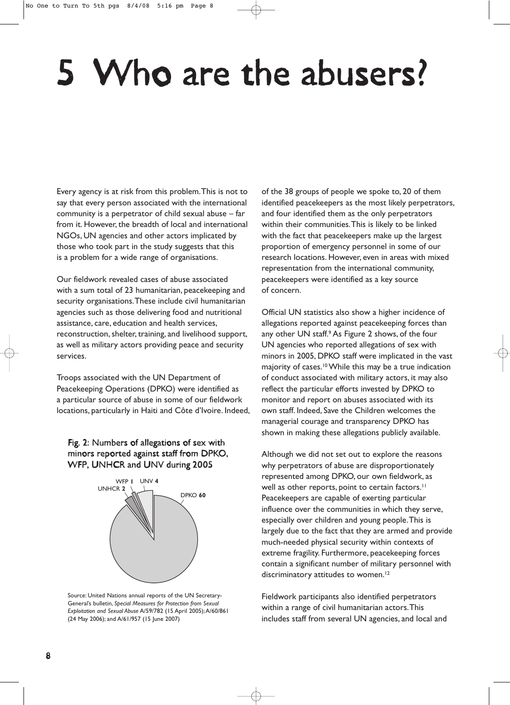# 5 Who are the abusers?

Every agency is at risk from this problem.This is not to say that every person associated with the international community is a perpetrator of child sexual abuse – far from it. However, the breadth of local and international NGOs, UN agencies and other actors implicated by those who took part in the study suggests that this is a problem for a wide range of organisations.

Our fieldwork revealed cases of abuse associated with a sum total of 23 humanitarian, peacekeeping and security organisations.These include civil humanitarian agencies such as those delivering food and nutritional assistance, care, education and health services, reconstruction, shelter, training, and livelihood support, as well as military actors providing peace and security services.

Troops associated with the UN Department of Peacekeeping Operations (DPKO) were identified as a particular source of abuse in some of our fieldwork locations, particularly in Haiti and Côte d'Ivoire. Indeed,

#### Fig. 2: Numbers of allegations of sex with minors reported against staff from DPKO, WFP, UNHCR and UNV during 2005



Source: United Nations annual reports of the UN Secretary-General's bulletin, *Special Measures for Protection from Sexual Exploitation and Sexual Abuse* A/59/782 (15 April 2005);A/60/861 (24 May 2006); and A/61/957 (15 June 2007)

of the 38 groups of people we spoke to, 20 of them identified peacekeepers as the most likely perpetrators, and four identified them as the only perpetrators within their communities.This is likely to be linked with the fact that peacekeepers make up the largest proportion of emergency personnel in some of our research locations. However, even in areas with mixed representation from the international community, peacekeepers were identified as a key source of concern.

Official UN statistics also show a higher incidence of allegations reported against peacekeeping forces than any other UN staff.<sup>9</sup> As Figure 2 shows, of the four UN agencies who reported allegations of sex with minors in 2005, DPKO staff were implicated in the vast majority of cases.<sup>10</sup> While this may be a true indication of conduct associated with military actors, it may also reflect the particular efforts invested by DPKO to monitor and report on abuses associated with its own staff. Indeed, Save the Children welcomes the managerial courage and transparency DPKO has shown in making these allegations publicly available.

Although we did not set out to explore the reasons why perpetrators of abuse are disproportionately represented among DPKO, our own fieldwork, as well as other reports, point to certain factors.<sup>11</sup> Peacekeepers are capable of exerting particular influence over the communities in which they serve, especially over children and young people.This is largely due to the fact that they are armed and provide much-needed physical security within contexts of extreme fragility. Furthermore, peacekeeping forces contain a significant number of military personnel with discriminatory attitudes to women.<sup>12</sup>

Fieldwork participants also identified perpetrators within a range of civil humanitarian actors.This includes staff from several UN agencies, and local and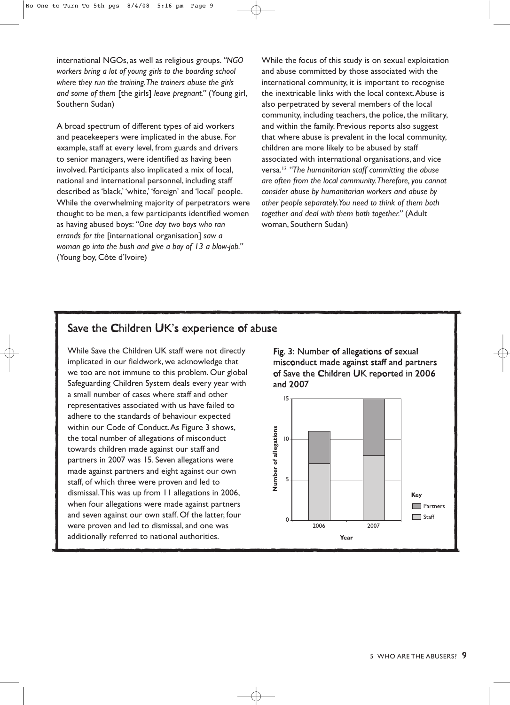international NGOs, as well as religious groups. *"NGO workers bring a lot of young girls to the boarding school where they run the training.The trainers abuse the girls and some of them* [the girls] *leave pregnant."* (Young girl, Southern Sudan)

A broad spectrum of different types of aid workers and peacekeepers were implicated in the abuse. For example, staff at every level, from guards and drivers to senior managers, were identified as having been involved. Participants also implicated a mix of local, national and international personnel, including staff described as 'black,' 'white,' 'foreign' and 'local' people. While the overwhelming majority of perpetrators were thought to be men, a few participants identified women as having abused boys: *"One day two boys who ran errands for the* [international organisation] *saw a woman go into the bush and give a boy of 13 a blow-job."* (Young boy, Côte d'Ivoire)

While the focus of this study is on sexual exploitation and abuse committed by those associated with the international community, it is important to recognise the inextricable links with the local context.Abuse is also perpetrated by several members of the local community, including teachers, the police, the military, and within the family. Previous reports also suggest that where abuse is prevalent in the local community, children are more likely to be abused by staff associated with international organisations, and vice versa.13 *"The humanitarian staff committing the abuse are often from the local community.Therefore, you cannot consider abuse by humanitarian workers and abuse by other people separately.You need to think of them both together and deal with them both together."* (Adult woman, Southern Sudan)

### Save the Children UK's experience of abuse

While Save the Children UK staff were not directly implicated in our fieldwork, we acknowledge that we too are not immune to this problem. Our global Safeguarding Children System deals every year with a small number of cases where staff and other representatives associated with us have failed to adhere to the standards of behaviour expected within our Code of Conduct.As Figure 3 shows, the total number of allegations of misconduct towards children made against our staff and partners in 2007 was 15. Seven allegations were made against partners and eight against our own staff, of which three were proven and led to dismissal.This was up from 11 allegations in 2006, when four allegations were made against partners and seven against our own staff. Of the latter, four were proven and led to dismissal, and one was additionally referred to national authorities.

Fig. 3: Number of allegations of sexual misconduct made against staff and partners of Save the Children UK reported in 2006 and 2007

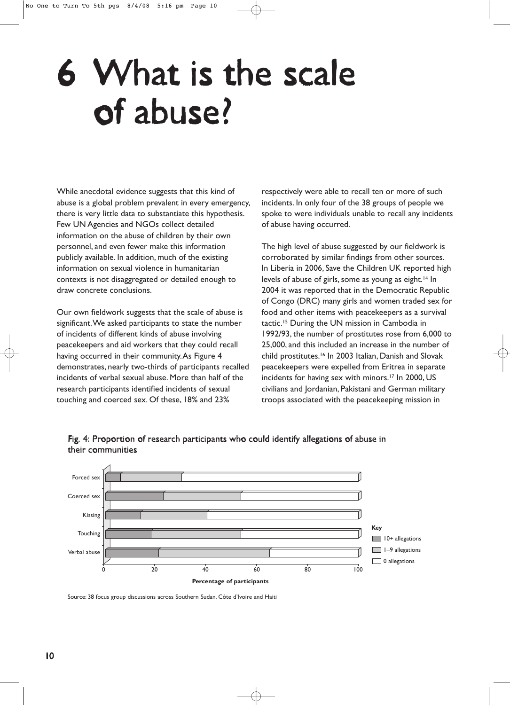# 6 What is the scale of abuse?

While anecdotal evidence suggests that this kind of abuse is a global problem prevalent in every emergency, there is very little data to substantiate this hypothesis. Few UN Agencies and NGOs collect detailed information on the abuse of children by their own personnel, and even fewer make this information publicly available. In addition, much of the existing information on sexual violence in humanitarian contexts is not disaggregated or detailed enough to draw concrete conclusions.

Our own fieldwork suggests that the scale of abuse is significant.We asked participants to state the number of incidents of different kinds of abuse involving peacekeepers and aid workers that they could recall having occurred in their community.As Figure 4 demonstrates, nearly two-thirds of participants recalled incidents of verbal sexual abuse. More than half of the research participants identified incidents of sexual touching and coerced sex. Of these, 18% and 23%

respectively were able to recall ten or more of such incidents. In only four of the 38 groups of people we spoke to were individuals unable to recall any incidents of abuse having occurred.

The high level of abuse suggested by our fieldwork is corroborated by similar findings from other sources. In Liberia in 2006, Save the Children UK reported high levels of abuse of girls, some as young as eight.<sup>14</sup> In 2004 it was reported that in the Democratic Republic of Congo (DRC) many girls and women traded sex for food and other items with peacekeepers as a survival tactic.15 During the UN mission in Cambodia in 1992/93, the number of prostitutes rose from 6,000 to 25,000, and this included an increase in the number of child prostitutes.16 In 2003 Italian, Danish and Slovak peacekeepers were expelled from Eritrea in separate incidents for having sex with minors.<sup>17</sup> In 2000, US civilians and Jordanian, Pakistani and German military troops associated with the peacekeeping mission in



Fig. 4: Proportion of research participants who could identify allegations of abuse in their communities

Source: 38 focus group discussions across Southern Sudan, Côte d'Ivoire and Haiti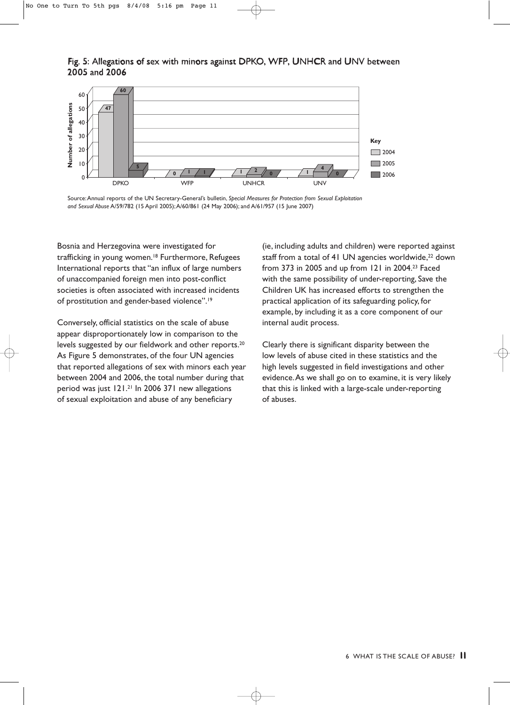#### Fig. 5: Allegations of sex with minors against DPKO, WFP, UNHCR and UNV between 2005 and 2006



Source:Annual reports of the UN Secretary-General's bulletin, *Special Measures for Protection from Sexual Exploitation and Sexual Abuse* A/59/782 (15 April 2005);A/60/861 (24 May 2006); and A/61/957 (15 June 2007)

Bosnia and Herzegovina were investigated for trafficking in young women.<sup>18</sup> Furthermore, Refugees International reports that "an influx of large numbers of unaccompanied foreign men into post-conflict societies is often associated with increased incidents of prostitution and gender-based violence".19

Conversely, official statistics on the scale of abuse appear disproportionately low in comparison to the levels suggested by our fieldwork and other reports.<sup>20</sup> As Figure 5 demonstrates, of the four UN agencies that reported allegations of sex with minors each year between 2004 and 2006, the total number during that period was just 121.21 In 2006 371 new allegations of sexual exploitation and abuse of any beneficiary

(ie, including adults and children) were reported against staff from a total of 41 UN agencies worldwide,<sup>22</sup> down from 373 in 2005 and up from 121 in 2004.23 Faced with the same possibility of under-reporting, Save the Children UK has increased efforts to strengthen the practical application of its safeguarding policy, for example, by including it as a core component of our internal audit process.

Clearly there is significant disparity between the low levels of abuse cited in these statistics and the high levels suggested in field investigations and other evidence.As we shall go on to examine, it is very likely that this is linked with a large-scale under-reporting of abuses.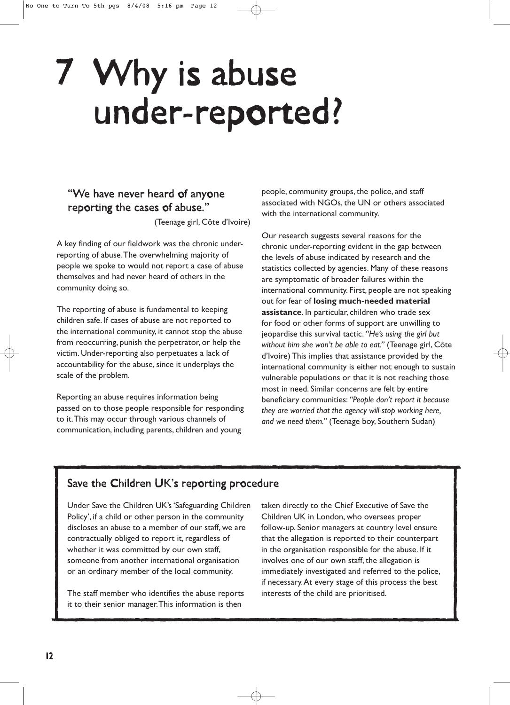# 7 Why is abuse under-reported?

### "We have never heard of anyone reporting the cases of abuse."

(Teenage girl, Côte d'Ivoire)

A key finding of our fieldwork was the chronic underreporting of abuse.The overwhelming majority of people we spoke to would not report a case of abuse themselves and had never heard of others in the community doing so.

The reporting of abuse is fundamental to keeping children safe. If cases of abuse are not reported to the international community, it cannot stop the abuse from reoccurring, punish the perpetrator, or help the victim. Under-reporting also perpetuates a lack of accountability for the abuse, since it underplays the scale of the problem.

Reporting an abuse requires information being passed on to those people responsible for responding to it.This may occur through various channels of communication, including parents, children and young

people, community groups, the police, and staff associated with NGOs, the UN or others associated with the international community.

Our research suggests several reasons for the chronic under-reporting evident in the gap between the levels of abuse indicated by research and the statistics collected by agencies. Many of these reasons are symptomatic of broader failures within the international community. First, people are not speaking out for fear of **losing much-needed material assistance**. In particular, children who trade sex for food or other forms of support are unwilling to jeopardise this survival tactic. *"He's using the girl but without him she won't be able to eat."* (Teenage girl, Côte d'Ivoire) This implies that assistance provided by the international community is either not enough to sustain vulnerable populations or that it is not reaching those most in need. Similar concerns are felt by entire beneficiary communities: *"People don't report it because they are worried that the agency will stop working here, and we need them."* (Teenage boy, Southern Sudan)

### Save the Children UK's reporting procedure

Under Save the Children UK's 'Safeguarding Children Policy', if a child or other person in the community discloses an abuse to a member of our staff, we are contractually obliged to report it, regardless of whether it was committed by our own staff, someone from another international organisation or an ordinary member of the local community.

The staff member who identifies the abuse reports it to their senior manager.This information is then

taken directly to the Chief Executive of Save the Children UK in London, who oversees proper follow-up. Senior managers at country level ensure that the allegation is reported to their counterpart in the organisation responsible for the abuse. If it involves one of our own staff, the allegation is immediately investigated and referred to the police, if necessary.At every stage of this process the best interests of the child are prioritised.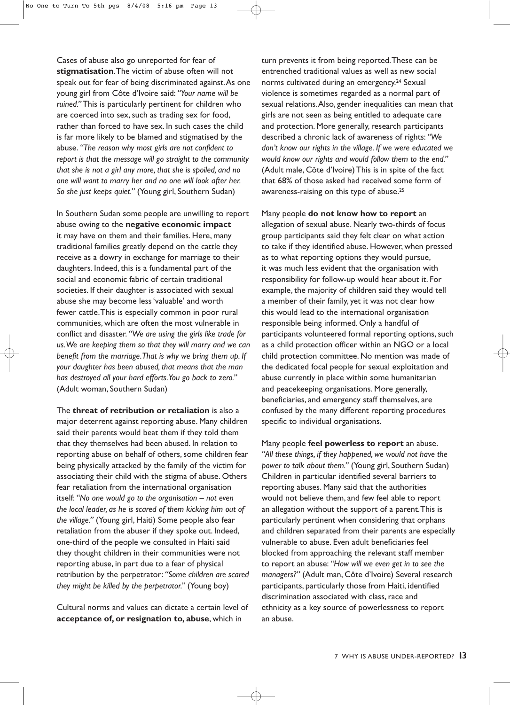Cases of abuse also go unreported for fear of **stigmatisation**.The victim of abuse often will not speak out for fear of being discriminated against.As one young girl from Côte d'Ivoire said: *"Your name will be ruined."* This is particularly pertinent for children who are coerced into sex, such as trading sex for food, rather than forced to have sex. In such cases the child is far more likely to be blamed and stigmatised by the abuse. *"The reason why most girls are not confident to report is that the message will go straight to the community that she is not a girl any more, that she is spoiled, and no one will want to marry her and no one will look after her. So she just keeps quiet."* (Young girl, Southern Sudan)

In Southern Sudan some people are unwilling to report abuse owing to the **negative economic impact** it may have on them and their families. Here, many traditional families greatly depend on the cattle they receive as a dowry in exchange for marriage to their daughters. Indeed, this is a fundamental part of the social and economic fabric of certain traditional societies. If their daughter is associated with sexual abuse she may become less 'valuable' and worth fewer cattle.This is especially common in poor rural communities, which are often the most vulnerable in conflict and disaster. *"We are using the girls like trade for us.We are keeping them so that they will marry and we can benefit from the marriage.That is why we bring them up. If your daughter has been abused, that means that the man has destroyed all your hard efforts.You go back to zero."* (Adult woman, Southern Sudan)

The **threat of retribution or retaliation** is also a major deterrent against reporting abuse. Many children said their parents would beat them if they told them that they themselves had been abused. In relation to reporting abuse on behalf of others, some children fear being physically attacked by the family of the victim for associating their child with the stigma of abuse. Others fear retaliation from the international organisation itself: *"No one would go to the organisation – not even the local leader, as he is scared of them kicking him out of the village."* (Young girl, Haiti) Some people also fear retaliation from the abuser if they spoke out. Indeed, one-third of the people we consulted in Haiti said they thought children in their communities were not reporting abuse, in part due to a fear of physical retribution by the perpetrator: *"Some children are scared they might be killed by the perpetrator."* (Young boy)

Cultural norms and values can dictate a certain level of **acceptance of, or resignation to, abuse**, which in

turn prevents it from being reported.These can be entrenched traditional values as well as new social norms cultivated during an emergency.<sup>24</sup> Sexual violence is sometimes regarded as a normal part of sexual relations.Also, gender inequalities can mean that girls are not seen as being entitled to adequate care and protection. More generally, research participants described a chronic lack of awareness of rights: *"We don't know our rights in the village. If we were educated we would know our rights and would follow them to the end."* (Adult male, Côte d'Ivoire) This is in spite of the fact that 68% of those asked had received some form of awareness-raising on this type of abuse.25

Many people **do not know how to report** an allegation of sexual abuse. Nearly two-thirds of focus group participants said they felt clear on what action to take if they identified abuse. However, when pressed as to what reporting options they would pursue, it was much less evident that the organisation with responsibility for follow-up would hear about it. For example, the majority of children said they would tell a member of their family, yet it was not clear how this would lead to the international organisation responsible being informed. Only a handful of participants volunteered formal reporting options, such as a child protection officer within an NGO or a local child protection committee. No mention was made of the dedicated focal people for sexual exploitation and abuse currently in place within some humanitarian and peacekeeping organisations. More generally, beneficiaries, and emergency staff themselves, are confused by the many different reporting procedures specific to individual organisations.

Many people **feel powerless to report** an abuse. *"All these things, if they happened, we would not have the power to talk about them."* (Young girl, Southern Sudan) Children in particular identified several barriers to reporting abuses. Many said that the authorities would not believe them, and few feel able to report an allegation without the support of a parent.This is particularly pertinent when considering that orphans and children separated from their parents are especially vulnerable to abuse. Even adult beneficiaries feel blocked from approaching the relevant staff member to report an abuse: *"How will we even get in to see the managers?"* (Adult man, Côte d'Ivoire) Several research participants, particularly those from Haiti, identified discrimination associated with class, race and ethnicity as a key source of powerlessness to report an abuse.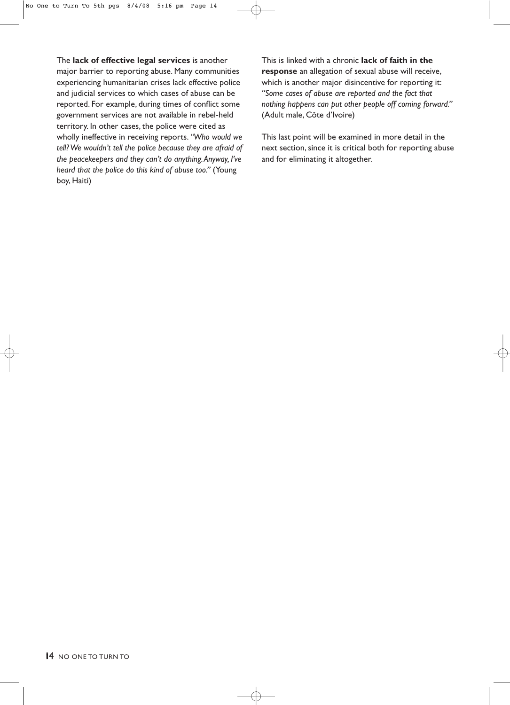The **lack of effective legal services** is another major barrier to reporting abuse. Many communities experiencing humanitarian crises lack effective police and judicial services to which cases of abuse can be reported. For example, during times of conflict some government services are not available in rebel-held territory. In other cases, the police were cited as wholly ineffective in receiving reports. *"Who would we tell? We wouldn't tell the police because they are afraid of the peacekeepers and they can't do anything.Anyway, I've heard that the police do this kind of abuse too."* (Young boy, Haiti)

This is linked with a chronic **lack of faith in the response** an allegation of sexual abuse will receive, which is another major disincentive for reporting it: *"Some cases of abuse are reported and the fact that nothing happens can put other people off coming forward."* (Adult male, Côte d'Ivoire)

This last point will be examined in more detail in the next section, since it is critical both for reporting abuse and for eliminating it altogether.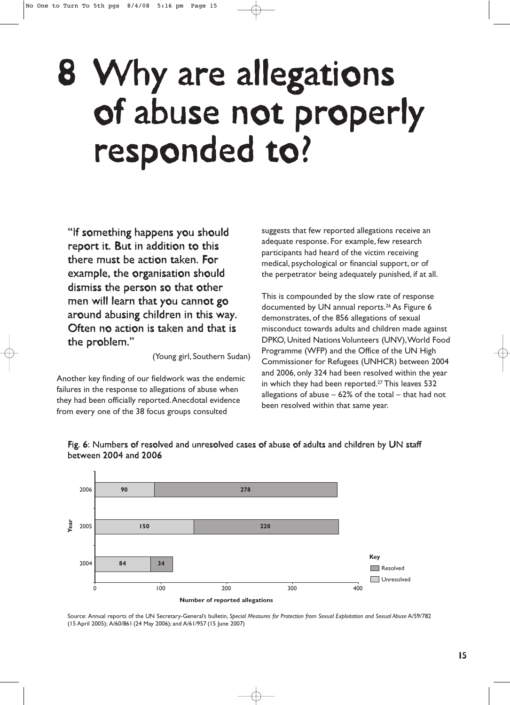# 8 Why are allegations of abuse not properly responded to?

"If something happens you should report it. But in addition to this there must be action taken. For example, the organisation should dismiss the person so that other men will learn that you cannot go around abusing children in this way. Often no action is taken and that is the problem."

(Young girl, Southern Sudan)

Another key finding of our fieldwork was the endemic failures in the response to allegations of abuse when they had been officially reported.Anecdotal evidence from every one of the 38 focus groups consulted

suggests that few reported allegations receive an adequate response. For example, few research participants had heard of the victim receiving medical, psychological or financial support, or of the perpetrator being adequately punished, if at all.

This is compounded by the slow rate of response documented by UN annual reports.26 As Figure 6 demonstrates, of the 856 allegations of sexual misconduct towards adults and children made against DPKO, United Nations Volunteers (UNV),World Food Programme (WFP) and the Office of the UN High Commissioner for Refugees (UNHCR) between 2004 and 2006, only 324 had been resolved within the year in which they had been reported.<sup>27</sup> This leaves 532 allegations of abuse  $-62\%$  of the total  $-$  that had not been resolved within that same year.





Source: Annual reports of the UN Secretary-General's bulletin, *Special Measures for Protection from Sexual Exploitation and Sexual Abuse* A/59/782 (15 April 2005); A/60/861 (24 May 2006); and A/61/957 (15 June 2007)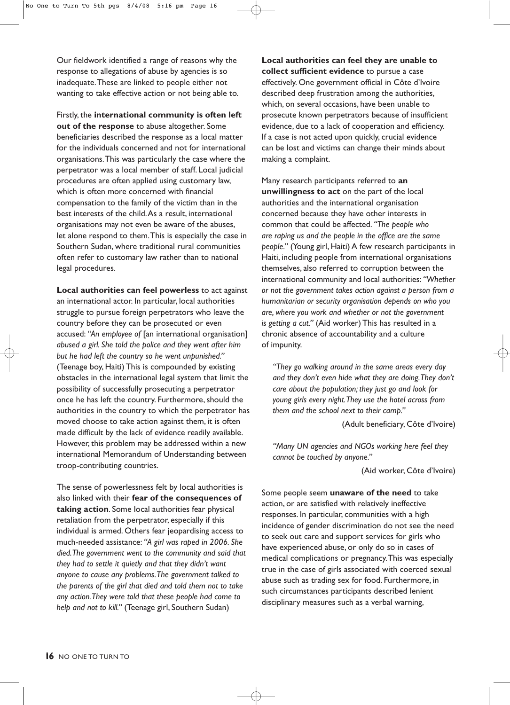Our fieldwork identified a range of reasons why the response to allegations of abuse by agencies is so inadequate.These are linked to people either not wanting to take effective action or not being able to.

Firstly, the **international community is often left out of the response** to abuse altogether. Some beneficiaries described the response as a local matter for the individuals concerned and not for international organisations.This was particularly the case where the perpetrator was a local member of staff. Local judicial procedures are often applied using customary law, which is often more concerned with financial compensation to the family of the victim than in the best interests of the child.As a result, international organisations may not even be aware of the abuses, let alone respond to them.This is especially the case in Southern Sudan, where traditional rural communities often refer to customary law rather than to national legal procedures.

**Local authorities can feel powerless** to act against an international actor. In particular, local authorities struggle to pursue foreign perpetrators who leave the country before they can be prosecuted or even accused: *"An employee of* [an international organisation] *abused a girl. She told the police and they went after him but he had left the country so he went unpunished."* (Teenage boy, Haiti) This is compounded by existing obstacles in the international legal system that limit the possibility of successfully prosecuting a perpetrator once he has left the country. Furthermore, should the authorities in the country to which the perpetrator has moved choose to take action against them, it is often made difficult by the lack of evidence readily available. However, this problem may be addressed within a new international Memorandum of Understanding between troop-contributing countries.

The sense of powerlessness felt by local authorities is also linked with their **fear of the consequences of taking action**. Some local authorities fear physical retaliation from the perpetrator, especially if this individual is armed. Others fear jeopardising access to much-needed assistance: *"A girl was raped in 2006. She died.The government went to the community and said that they had to settle it quietly and that they didn't want anyone to cause any problems.The government talked to the parents of the girl that died and told them not to take any action.They were told that these people had come to help and not to kill."* (Teenage girl, Southern Sudan)

**Local authorities can feel they are unable to collect sufficient evidence** to pursue a case effectively. One government official in Côte d'Ivoire described deep frustration among the authorities, which, on several occasions, have been unable to prosecute known perpetrators because of insufficient evidence, due to a lack of cooperation and efficiency. If a case is not acted upon quickly, crucial evidence can be lost and victims can change their minds about making a complaint.

Many research participants referred to **an unwillingness to act** on the part of the local authorities and the international organisation concerned because they have other interests in common that could be affected. *"The people who are raping us and the people in the office are the same people."* (Young girl, Haiti) A few research participants in Haiti, including people from international organisations themselves, also referred to corruption between the international community and local authorities: *"Whether or not the government takes action against a person from a humanitarian or security organisation depends on who you are, where you work and whether or not the government is getting a cut."* (Aid worker) This has resulted in a chronic absence of accountability and a culture of impunity.

*"They go walking around in the same areas every day and they don't even hide what they are doing.They don't care about the population; they just go and look for young girls every night.They use the hotel across from them and the school next to their camp."*

(Adult beneficiary, Côte d'Ivoire)

*"Many UN agencies and NGOs working here feel they cannot be touched by anyone."*

(Aid worker, Côte d'Ivoire)

Some people seem **unaware of the need** to take action, or are satisfied with relatively ineffective responses. In particular, communities with a high incidence of gender discrimination do not see the need to seek out care and support services for girls who have experienced abuse, or only do so in cases of medical complications or pregnancy.This was especially true in the case of girls associated with coerced sexual abuse such as trading sex for food. Furthermore, in such circumstances participants described lenient disciplinary measures such as a verbal warning,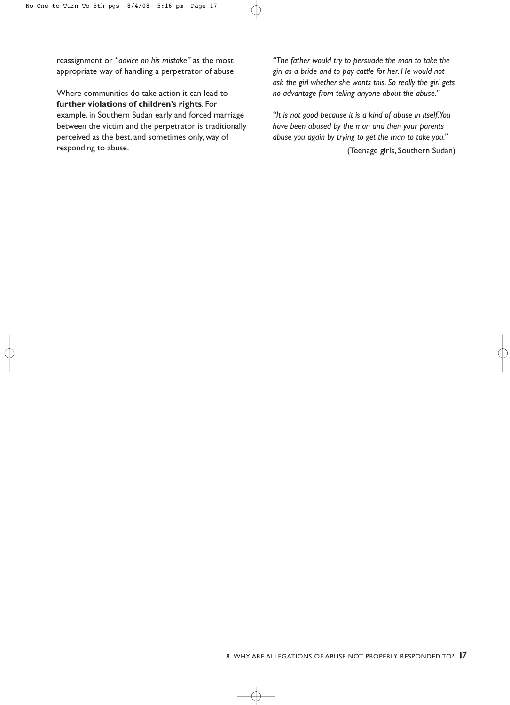reassignment or *"advice on his mistake"* as the most appropriate way of handling a perpetrator of abuse.

Where communities do take action it can lead to **further violations of children's rights**. For example, in Southern Sudan early and forced marriage between the victim and the perpetrator is traditionally perceived as the best, and sometimes only, way of responding to abuse.

*"The father would try to persuade the man to take the girl as a bride and to pay cattle for her. He would not ask the girl whether she wants this. So really the girl gets no advantage from telling anyone about the abuse."*

*"It is not good because it is a kind of abuse in itself.You have been abused by the man and then your parents abuse you again by trying to get the man to take you."*

(Teenage girls, Southern Sudan)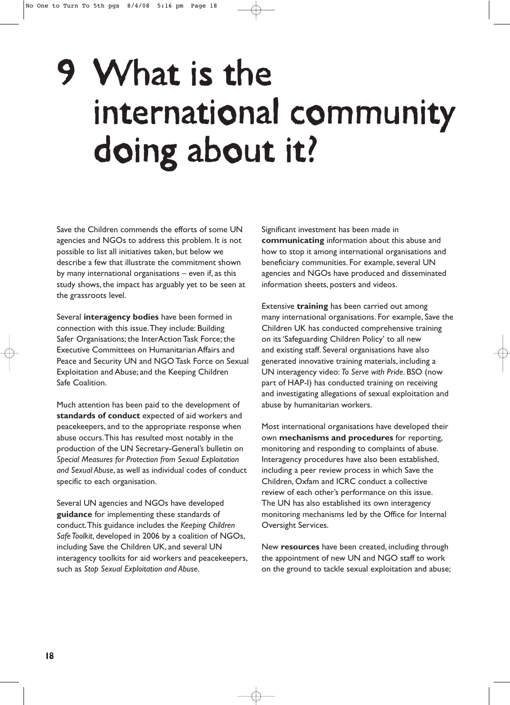# 9 What is the international community doing about it?

Save the Children commends the efforts of some UN agencies and NGOs to address this problem. It is not possible to list all initiatives taken, but below we describe a few that illustrate the commitment shown by many international organisations – even if, as this study shows, the impact has arguably yet to be seen at the grassroots level.

Several **interagency bodies** have been formed in connection with this issue.They include: Building Safer Organisations; the InterAction Task Force; the Executive Committees on Humanitarian Affairs and Peace and Security UN and NGO Task Force on Sexual Exploitation and Abuse; and the Keeping Children Safe Coalition.

Much attention has been paid to the development of **standards of conduct** expected of aid workers and peacekeepers, and to the appropriate response when abuse occurs.This has resulted most notably in the production of the UN Secretary-General's bulletin on *Special Measures for Protection from Sexual Exploitation and Sexual Abuse*, as well as individual codes of conduct specific to each organisation.

Several UN agencies and NGOs have developed **guidance** for implementing these standards of conduct.This guidance includes the *Keeping Children Safe Toolkit*, developed in 2006 by a coalition of NGOs, including Save the Children UK, and several UN interagency toolkits for aid workers and peacekeepers, such as *Stop Sexual Exploitation and Abuse*.

Significant investment has been made in **communicating** information about this abuse and how to stop it among international organisations and beneficiary communities. For example, several UN agencies and NGOs have produced and disseminated information sheets, posters and videos.

Extensive **training** has been carried out among many international organisations. For example, Save the Children UK has conducted comprehensive training on its 'Safeguarding Children Policy' to all new and existing staff. Several organisations have also generated innovative training materials, including a UN interagency video: *To Serve with Pride*. BSO (now part of HAP-I) has conducted training on receiving and investigating allegations of sexual exploitation and abuse by humanitarian workers.

Most international organisations have developed their own **mechanisms and procedures** for reporting, monitoring and responding to complaints of abuse. Interagency procedures have also been established, including a peer review process in which Save the Children, Oxfam and ICRC conduct a collective review of each other's performance on this issue. The UN has also established its own interagency monitoring mechanisms led by the Office for Internal Oversight Services.

New **resources** have been created, including through the appointment of new UN and NGO staff to work on the ground to tackle sexual exploitation and abuse;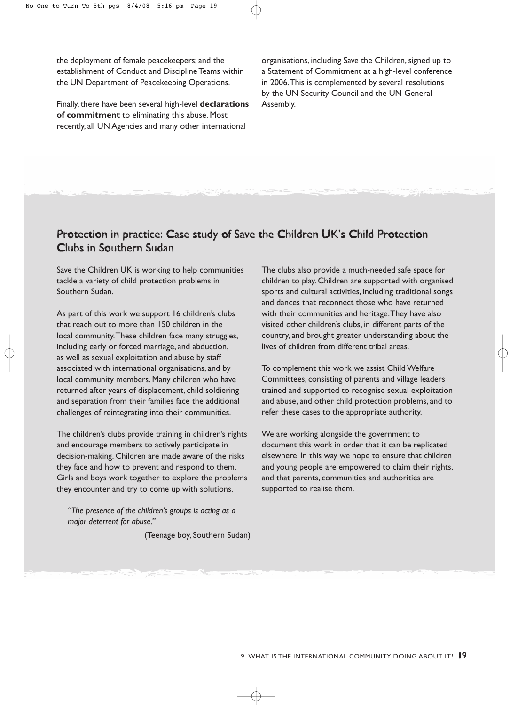the deployment of female peacekeepers; and the establishment of Conduct and Discipline Teams within the UN Department of Peacekeeping Operations.

Finally, there have been several high-level **declarations of commitment** to eliminating this abuse. Most recently, all UN Agencies and many other international

organisations, including Save the Children, signed up to a Statement of Commitment at a high-level conference in 2006.This is complemented by several resolutions by the UN Security Council and the UN General Assembly.

### Protection in practice: Case study of Save the Children UK's Child Protection Clubs in Southern Sudan

Save the Children UK is working to help communities tackle a variety of child protection problems in Southern Sudan.

As part of this work we support 16 children's clubs that reach out to more than 150 children in the local community.These children face many struggles, including early or forced marriage, and abduction, as well as sexual exploitation and abuse by staff associated with international organisations, and by local community members. Many children who have returned after years of displacement, child soldiering and separation from their families face the additional challenges of reintegrating into their communities.

The children's clubs provide training in children's rights and encourage members to actively participate in decision-making. Children are made aware of the risks they face and how to prevent and respond to them. Girls and boys work together to explore the problems they encounter and try to come up with solutions.

*"The presence of the children's groups is acting as a major deterrent for abuse."*

(Teenage boy, Southern Sudan)

The clubs also provide a much-needed safe space for children to play. Children are supported with organised sports and cultural activities, including traditional songs and dances that reconnect those who have returned with their communities and heritage.They have also visited other children's clubs, in different parts of the country, and brought greater understanding about the lives of children from different tribal areas.

To complement this work we assist Child Welfare Committees, consisting of parents and village leaders trained and supported to recognise sexual exploitation and abuse, and other child protection problems, and to refer these cases to the appropriate authority.

We are working alongside the government to document this work in order that it can be replicated elsewhere. In this way we hope to ensure that children and young people are empowered to claim their rights, and that parents, communities and authorities are supported to realise them.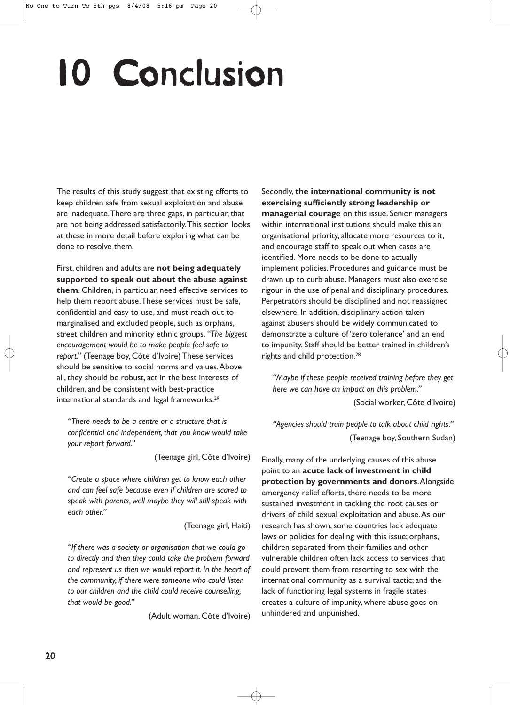# 10 Conclusion

The results of this study suggest that existing efforts to keep children safe from sexual exploitation and abuse are inadequate.There are three gaps, in particular, that are not being addressed satisfactorily.This section looks at these in more detail before exploring what can be done to resolve them.

First, children and adults are **not being adequately supported to speak out about the abuse against them**. Children, in particular, need effective services to help them report abuse.These services must be safe, confidential and easy to use, and must reach out to marginalised and excluded people, such as orphans, street children and minority ethnic groups. *"The biggest encouragement would be to make people feel safe to report."* (Teenage boy, Côte d'Ivoire) These services should be sensitive to social norms and values.Above all, they should be robust, act in the best interests of children, and be consistent with best-practice international standards and legal frameworks.29

*"There needs to be a centre or a structure that is confidential and independent, that you know would take your report forward."*

(Teenage girl, Côte d'Ivoire)

*"Create a space where children get to know each other and can feel safe because even if children are scared to speak with parents, well maybe they will still speak with each other."*

(Teenage girl, Haiti)

*"If there was a society or organisation that we could go to directly and then they could take the problem forward and represent us then we would report it. In the heart of the community, if there were someone who could listen to our children and the child could receive counselling, that would be good."*

(Adult woman, Côte d'Ivoire)

Secondly, **the international community is not exercising sufficiently strong leadership or managerial courage** on this issue. Senior managers within international institutions should make this an organisational priority, allocate more resources to it, and encourage staff to speak out when cases are identified. More needs to be done to actually implement policies. Procedures and guidance must be drawn up to curb abuse. Managers must also exercise rigour in the use of penal and disciplinary procedures. Perpetrators should be disciplined and not reassigned elsewhere. In addition, disciplinary action taken against abusers should be widely communicated to demonstrate a culture of 'zero tolerance' and an end to impunity. Staff should be better trained in children's rights and child protection.28

*"Maybe if these people received training before they get here we can have an impact on this problem."*

(Social worker, Côte d'Ivoire)

*"Agencies should train people to talk about child rights."* (Teenage boy, Southern Sudan)

Finally, many of the underlying causes of this abuse point to an **acute lack of investment in child protection by governments and donors**.Alongside emergency relief efforts, there needs to be more sustained investment in tackling the root causes or drivers of child sexual exploitation and abuse.As our research has shown, some countries lack adequate laws or policies for dealing with this issue; orphans, children separated from their families and other vulnerable children often lack access to services that could prevent them from resorting to sex with the international community as a survival tactic; and the lack of functioning legal systems in fragile states creates a culture of impunity, where abuse goes on unhindered and unpunished.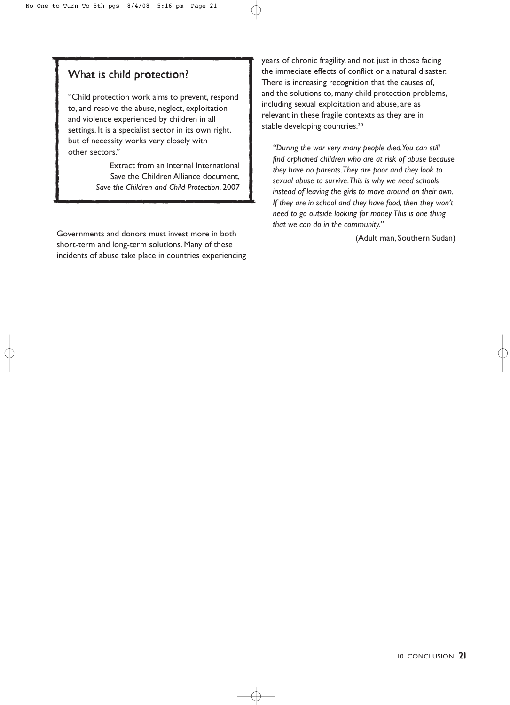### What is child protection?

"Child protection work aims to prevent, respond to, and resolve the abuse, neglect, exploitation and violence experienced by children in all settings. It is a specialist sector in its own right, but of necessity works very closely with other sectors."

> Extract from an internal International Save the Children Alliance document, *Save the Children and Child Protection*, 2007

Governments and donors must invest more in both short-term and long-term solutions. Many of these incidents of abuse take place in countries experiencing years of chronic fragility, and not just in those facing the immediate effects of conflict or a natural disaster. There is increasing recognition that the causes of, and the solutions to, many child protection problems, including sexual exploitation and abuse, are as relevant in these fragile contexts as they are in stable developing countries.<sup>30</sup>

*"During the war very many people died.You can still find orphaned children who are at risk of abuse because they have no parents.They are poor and they look to sexual abuse to survive.This is why we need schools instead of leaving the girls to move around on their own. If they are in school and they have food, then they won't need to go outside looking for money.This is one thing that we can do in the community."*

(Adult man, Southern Sudan)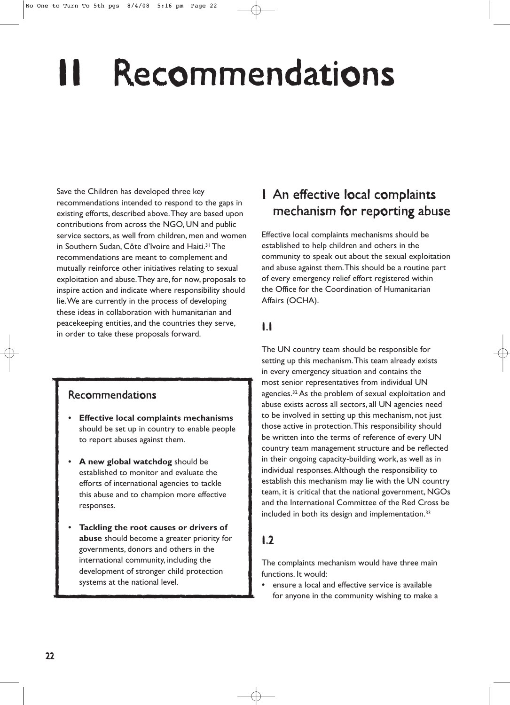# **Recommendations**

Save the Children has developed three key recommendations intended to respond to the gaps in existing efforts, described above.They are based upon contributions from across the NGO, UN and public service sectors, as well from children, men and women in Southern Sudan, Côte d'Ivoire and Haiti.31 The recommendations are meant to complement and mutually reinforce other initiatives relating to sexual exploitation and abuse.They are, for now, proposals to inspire action and indicate where responsibility should lie.We are currently in the process of developing these ideas in collaboration with humanitarian and peacekeeping entities, and the countries they serve, in order to take these proposals forward.

### Recommendations

- **Effective local complaints mechanisms** should be set up in country to enable people to report abuses against them.
- **A new global watchdog** should be established to monitor and evaluate the efforts of international agencies to tackle this abuse and to champion more effective responses.
- **Tackling the root causes or drivers of abuse** should become a greater priority for governments, donors and others in the international community, including the development of stronger child protection systems at the national level.

## 1 An effective local complaints mechanism for reporting abuse

Effective local complaints mechanisms should be established to help children and others in the community to speak out about the sexual exploitation and abuse against them.This should be a routine part of every emergency relief effort registered within the Office for the Coordination of Humanitarian Affairs (OCHA).

### 1.1

The UN country team should be responsible for setting up this mechanism.This team already exists in every emergency situation and contains the most senior representatives from individual UN agencies.32 As the problem of sexual exploitation and abuse exists across all sectors, all UN agencies need to be involved in setting up this mechanism, not just those active in protection.This responsibility should be written into the terms of reference of every UN country team management structure and be reflected in their ongoing capacity-building work, as well as in individual responses.Although the responsibility to establish this mechanism may lie with the UN country team, it is critical that the national government, NGOs and the International Committee of the Red Cross be included in both its design and implementation.<sup>33</sup>

### 1.2

The complaints mechanism would have three main functions. It would:

ensure a local and effective service is available for anyone in the community wishing to make a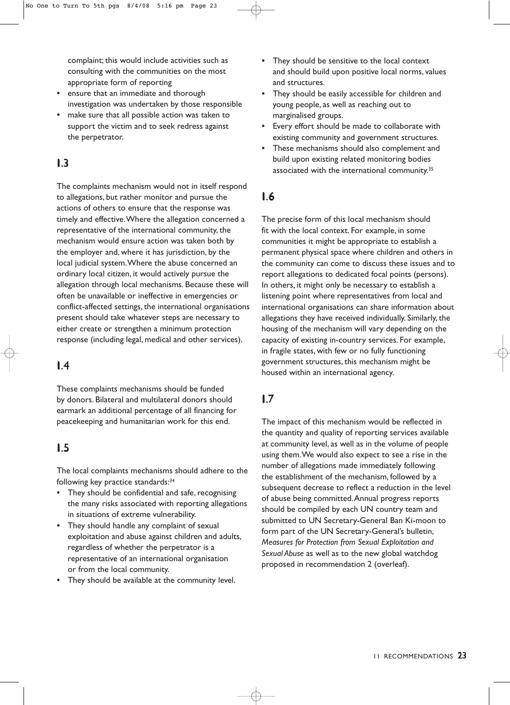complaint; this would include activities such as consulting with the communities on the most appropriate form of reporting

- ensure that an immediate and thorough investigation was undertaken by those responsible
- make sure that all possible action was taken to support the victim and to seek redress against the perpetrator.

### 1.3

The complaints mechanism would not in itself respond to allegations, but rather monitor and pursue the actions of others to ensure that the response was timely and effective.Where the allegation concerned a representative of the international community, the mechanism would ensure action was taken both by the employer and, where it has jurisdiction, by the local judicial system.Where the abuse concerned an ordinary local citizen, it would actively pursue the allegation through local mechanisms. Because these will often be unavailable or ineffective in emergencies or conflict-affected settings, the international organisations present should take whatever steps are necessary to either create or strengthen a minimum protection response (including legal, medical and other services).

### 1.4

These complaints mechanisms should be funded by donors. Bilateral and multilateral donors should earmark an additional percentage of all financing for peacekeeping and humanitarian work for this end.

### 1.5

The local complaints mechanisms should adhere to the following key practice standards:<sup>34</sup>

- They should be confidential and safe, recognising the many risks associated with reporting allegations in situations of extreme vulnerability.
- They should handle any complaint of sexual exploitation and abuse against children and adults, regardless of whether the perpetrator is a representative of an international organisation or from the local community.
- They should be available at the community level.
- They should be sensitive to the local context and should build upon positive local norms, values and structures.
- They should be easily accessible for children and young people, as well as reaching out to marginalised groups.
- Every effort should be made to collaborate with existing community and government structures.
- These mechanisms should also complement and build upon existing related monitoring bodies associated with the international community.<sup>35</sup>

### 1.6

The precise form of this local mechanism should fit with the local context. For example, in some communities it might be appropriate to establish a permanent physical space where children and others in the community can come to discuss these issues and to report allegations to dedicated focal points (persons). In others, it might only be necessary to establish a listening point where representatives from local and international organisations can share information about allegations they have received individually. Similarly, the housing of the mechanism will vary depending on the capacity of existing in-country services. For example, in fragile states, with few or no fully functioning government structures, this mechanism might be housed within an international agency.

### 1.7

The impact of this mechanism would be reflected in the quantity and quality of reporting services available at community level, as well as in the volume of people using them.We would also expect to see a rise in the number of allegations made immediately following the establishment of the mechanism, followed by a subsequent decrease to reflect a reduction in the level of abuse being committed.Annual progress reports should be compiled by each UN country team and submitted to UN Secretary-General Ban Ki-moon to form part of the UN Secretary-General's bulletin, *Measures for Protection from Sexual Exploitation and Sexual Abuse* as well as to the new global watchdog proposed in recommendation 2 (overleaf).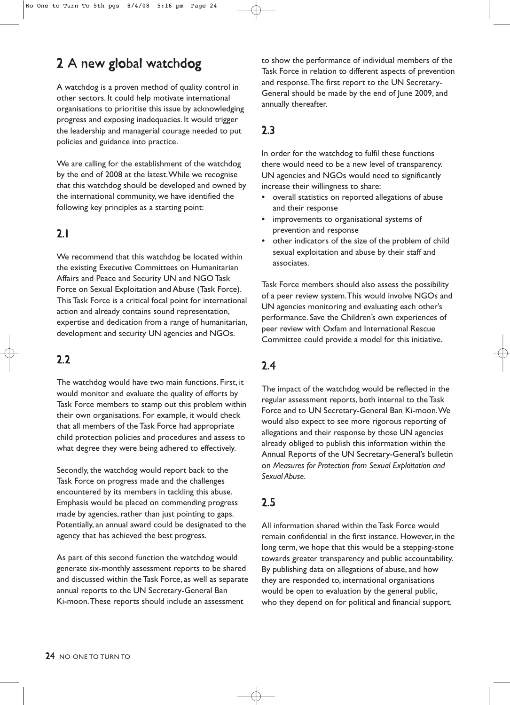## 2 A new global watchdog

A watchdog is a proven method of quality control in other sectors. It could help motivate international organisations to prioritise this issue by acknowledging progress and exposing inadequacies. It would trigger the leadership and managerial courage needed to put policies and guidance into practice.

We are calling for the establishment of the watchdog by the end of 2008 at the latest.While we recognise that this watchdog should be developed and owned by the international community, we have identified the following key principles as a starting point:

### 2.1

We recommend that this watchdog be located within the existing Executive Committees on Humanitarian Affairs and Peace and Security UN and NGO Task Force on Sexual Exploitation and Abuse (Task Force). This Task Force is a critical focal point for international action and already contains sound representation, expertise and dedication from a range of humanitarian, development and security UN agencies and NGOs.

### 2.2

The watchdog would have two main functions. First, it would monitor and evaluate the quality of efforts by Task Force members to stamp out this problem within their own organisations. For example, it would check that all members of the Task Force had appropriate child protection policies and procedures and assess to what degree they were being adhered to effectively.

Secondly, the watchdog would report back to the Task Force on progress made and the challenges encountered by its members in tackling this abuse. Emphasis would be placed on commending progress made by agencies, rather than just pointing to gaps. Potentially, an annual award could be designated to the agency that has achieved the best progress.

As part of this second function the watchdog would generate six-monthly assessment reports to be shared and discussed within the Task Force, as well as separate annual reports to the UN Secretary-General Ban Ki-moon.These reports should include an assessment

to show the performance of individual members of the Task Force in relation to different aspects of prevention and response.The first report to the UN Secretary-General should be made by the end of June 2009, and annually thereafter.

### 2.3

In order for the watchdog to fulfil these functions there would need to be a new level of transparency. UN agencies and NGOs would need to significantly increase their willingness to share:

- overall statistics on reported allegations of abuse and their response
- improvements to organisational systems of prevention and response
- other indicators of the size of the problem of child sexual exploitation and abuse by their staff and associates.

Task Force members should also assess the possibility of a peer review system.This would involve NGOs and UN agencies monitoring and evaluating each other's performance. Save the Children's own experiences of peer review with Oxfam and International Rescue Committee could provide a model for this initiative.

### 2.4

The impact of the watchdog would be reflected in the regular assessment reports, both internal to the Task Force and to UN Secretary-General Ban Ki-moon.We would also expect to see more rigorous reporting of allegations and their response by those UN agencies already obliged to publish this information within the Annual Reports of the UN Secretary-General's bulletin on *Measures for Protection from Sexual Exploitation and Sexual Abuse*.

### 2.5

All information shared within the Task Force would remain confidential in the first instance. However, in the long term, we hope that this would be a stepping-stone towards greater transparency and public accountability. By publishing data on allegations of abuse, and how they are responded to, international organisations would be open to evaluation by the general public, who they depend on for political and financial support.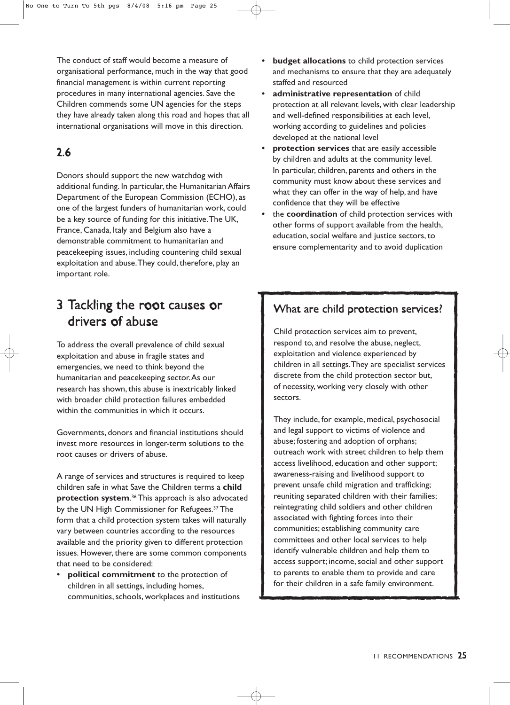The conduct of staff would become a measure of organisational performance, much in the way that good financial management is within current reporting procedures in many international agencies. Save the Children commends some UN agencies for the steps they have already taken along this road and hopes that all international organisations will move in this direction.

## 2.6

Donors should support the new watchdog with additional funding. In particular, the Humanitarian Affairs Department of the European Commission (ECHO), as one of the largest funders of humanitarian work, could be a key source of funding for this initiative.The UK, France, Canada, Italy and Belgium also have a demonstrable commitment to humanitarian and peacekeeping issues, including countering child sexual exploitation and abuse.They could, therefore, play an important role.

## 3 Tackling the root causes or drivers of abuse

To address the overall prevalence of child sexual exploitation and abuse in fragile states and emergencies, we need to think beyond the humanitarian and peacekeeping sector.As our research has shown, this abuse is inextricably linked with broader child protection failures embedded within the communities in which it occurs.

Governments, donors and financial institutions should invest more resources in longer-term solutions to the root causes or drivers of abuse.

A range of services and structures is required to keep children safe in what Save the Children terms a **child protection system**. <sup>36</sup> This approach is also advocated by the UN High Commissioner for Refugees.37 The form that a child protection system takes will naturally vary between countries according to the resources available and the priority given to different protection issues. However, there are some common components that need to be considered:

• **political commitment** to the protection of children in all settings, including homes, communities, schools, workplaces and institutions

- **budget allocations** to child protection services and mechanisms to ensure that they are adequately staffed and resourced
- **administrative representation** of child protection at all relevant levels, with clear leadership and well-defined responsibilities at each level, working according to guidelines and policies developed at the national level
- **protection services** that are easily accessible by children and adults at the community level. In particular, children, parents and others in the community must know about these services and what they can offer in the way of help, and have confidence that they will be effective
- the **coordination** of child protection services with other forms of support available from the health, education, social welfare and justice sectors, to ensure complementarity and to avoid duplication

### What are child protection services?

Child protection services aim to prevent, respond to, and resolve the abuse, neglect, exploitation and violence experienced by children in all settings.They are specialist services discrete from the child protection sector but, of necessity, working very closely with other sectors.

They include, for example, medical, psychosocial and legal support to victims of violence and abuse; fostering and adoption of orphans; outreach work with street children to help them access livelihood, education and other support; awareness-raising and livelihood support to prevent unsafe child migration and trafficking; reuniting separated children with their families; reintegrating child soldiers and other children associated with fighting forces into their communities; establishing community care committees and other local services to help identify vulnerable children and help them to access support; income, social and other support to parents to enable them to provide and care for their children in a safe family environment.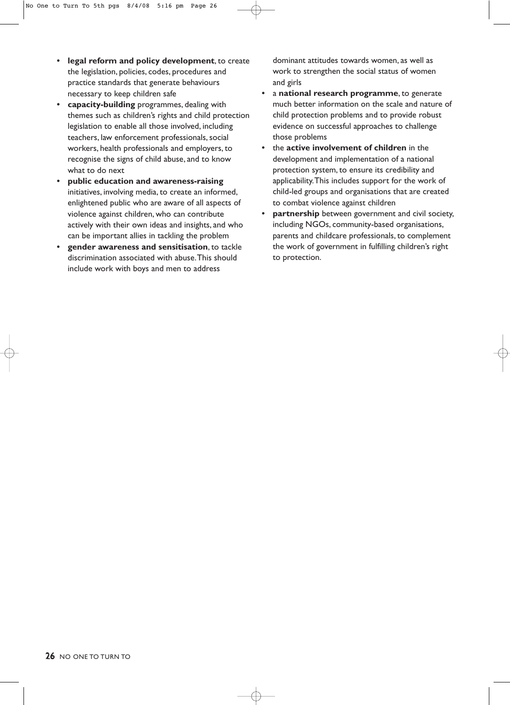- **legal reform and policy development**, to create the legislation, policies, codes, procedures and practice standards that generate behaviours necessary to keep children safe
- **capacity-building** programmes, dealing with themes such as children's rights and child protection legislation to enable all those involved, including teachers, law enforcement professionals, social workers, health professionals and employers, to recognise the signs of child abuse, and to know what to do next
- **public education and awareness-raising** initiatives, involving media, to create an informed, enlightened public who are aware of all aspects of violence against children, who can contribute actively with their own ideas and insights, and who can be important allies in tackling the problem
- **gender awareness and sensitisation**, to tackle discrimination associated with abuse.This should include work with boys and men to address

dominant attitudes towards women, as well as work to strengthen the social status of women and girls

- a **national research programme**, to generate much better information on the scale and nature of child protection problems and to provide robust evidence on successful approaches to challenge those problems
- the **active involvement of children** in the development and implementation of a national protection system, to ensure its credibility and applicability.This includes support for the work of child-led groups and organisations that are created to combat violence against children
- **partnership** between government and civil society, including NGOs, community-based organisations, parents and childcare professionals, to complement the work of government in fulfilling children's right to protection.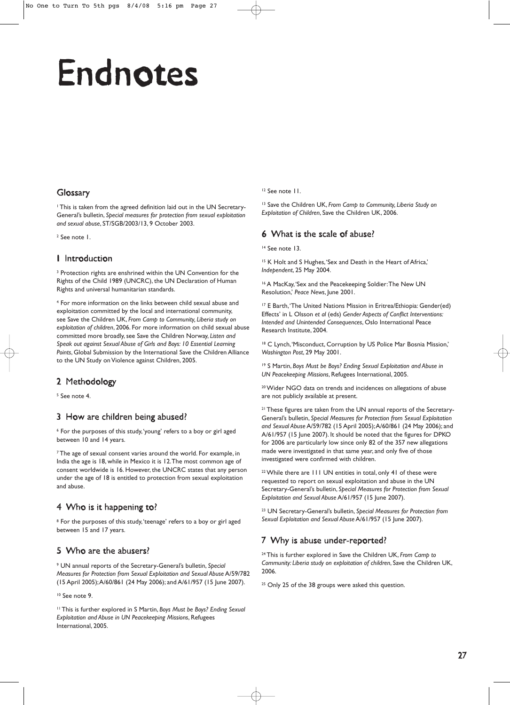# Endnotes

#### Glossary

<sup>1</sup> This is taken from the agreed definition laid out in the UN Secretary-General's bulletin, *Special measures for protection from sexual exploitation and sexual abuse*, ST/SGB/2003/13, 9 October 2003.

<sup>2</sup> See note 1.

#### 1 Introduction

<sup>3</sup> Protection rights are enshrined within the UN Convention for the Rights of the Child 1989 (UNCRC), the UN Declaration of Human Rights and universal humanitarian standards.

<sup>4</sup> For more information on the links between child sexual abuse and exploitation committed by the local and international community, see Save the Children UK, *From Camp to Community, Liberia study on exploitation of children*, 2006. For more information on child sexual abuse committed more broadly, see Save the Children Norway, *Listen and Speak out against Sexual Abuse of Girls and Boys: 10 Essential Learning Points*, Global Submission by the International Save the Children Alliance to the UN Study on Violence against Children, 2005.

#### 2 Methodology

<sup>5</sup> See note 4.

#### 3 How are children being abused?

<sup>6</sup> For the purposes of this study,'young' refers to a boy or girl aged between 10 and 14 years.

<sup>7</sup> The age of sexual consent varies around the world. For example, in India the age is 18, while in Mexico it is 12.The most common age of consent worldwide is 16. However, the UNCRC states that any person under the age of 18 is entitled to protection from sexual exploitation and abuse.

#### 4 Who is it happening to?

<sup>8</sup> For the purposes of this study, 'teenage' refers to a boy or girl aged between 15 and 17 years.

#### 5 Who are the abusers?

<sup>9</sup> UN annual reports of the Secretary-General's bulletin, *Special Measures for Protection from Sexual Exploitation and Sexual Abuse* A/59/782 (15 April 2005);A/60/861 (24 May 2006); and A/61/957 (15 June 2007).

<sup>10</sup> See note 9.

<sup>11</sup> This is further explored in S Martin, *Boys Must be Boys? Ending Sexual Exploitation and Abuse in UN Peacekeeping Missions*, Refugees International, 2005.

<sup>12</sup> See note 11.

<sup>13</sup> Save the Children UK, *From Camp to Community, Liberia Study on Exploitation of Children*, Save the Children UK, 2006.

#### 6 What is the scale of abuse?

<sup>14</sup> See note 13.

<sup>15</sup> K Holt and S Hughes, 'Sex and Death in the Heart of Africa,' *Independent*, 25 May 2004.

<sup>16</sup> A MacKay,'Sex and the Peacekeeping Soldier:The New UN Resolution,' *Peace News*, June 2001.

<sup>17</sup> E Barth,'The United Nations Mission in Eritrea/Ethiopia: Gender(ed) Effects' in L Olsson *et al* (eds) *Gender Aspects of Conflict Interventions: Intended and Unintended Consequences*, Oslo International Peace Research Institute, 2004.

<sup>18</sup> C Lynch, 'Misconduct, Corruption by US Police Mar Bosnia Mission,' *Washington Post*, 29 May 2001.

<sup>19</sup> S Martin, *Boys Must be Boys? Ending Sexual Exploitation and Abuse in UN Peacekeeping Missions*, Refugees International, 2005.

20Wider NGO data on trends and incidences on allegations of abuse are not publicly available at present.

<sup>21</sup> These figures are taken from the UN annual reports of the Secretary-General's bulletin, *Special Measures for Protection from Sexual Exploitation and Sexual Abuse* A/59/782 (15 April 2005);A/60/861 (24 May 2006); and A/61/957 (15 June 2007). It should be noted that the figures for DPKO for 2006 are particularly low since only 82 of the 357 new allegations made were investigated in that same year, and only five of those investigated were confirmed with children.

22While there are 111 UN entities in total, only 41 of these were requested to report on sexual exploitation and abuse in the UN Secretary-General's bulletin, *Special Measures for Protection from Sexual Exploitation and Sexual Abuse* A/61/957 (15 June 2007).

<sup>23</sup> UN Secretary-General's bulletin, *Special Measures for Protection from Sexual Exploitation and Sexual Abuse* A/61/957 (15 June 2007).

#### 7 Why is abuse under-reported?

<sup>24</sup> This is further explored in Save the Children UK, *From Camp to Community: Liberia study on exploitation of children*, Save the Children UK, 2006.

<sup>25</sup> Only 25 of the 38 groups were asked this question.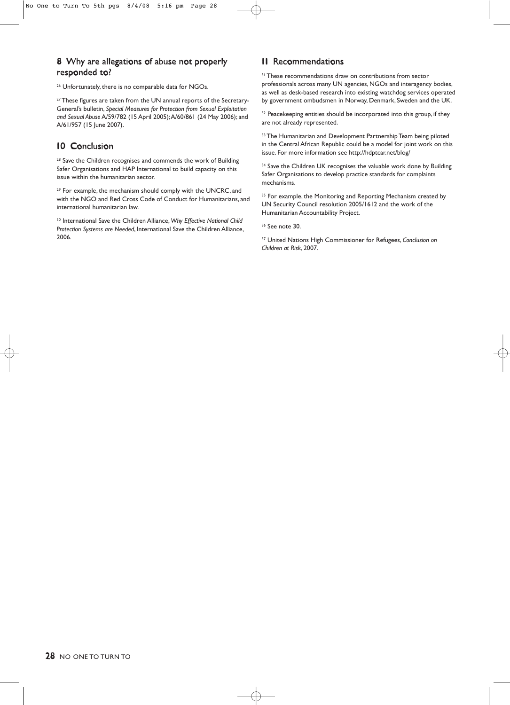#### 8 Why are allegations of abuse not properly responded to?

<sup>26</sup> Unfortunately, there is no comparable data for NGOs.

<sup>27</sup> These figures are taken from the UN annual reports of the Secretary-General's bulletin, *Special Measures for Protection from Sexual Exploitation and Sexual Abuse* A/59/782 (15 April 2005);A/60/861 (24 May 2006); and A/61/957 (15 June 2007).

#### 10 Conclusion

<sup>28</sup> Save the Children recognises and commends the work of Building Safer Organisations and HAP International to build capacity on this issue within the humanitarian sector.

<sup>29</sup> For example, the mechanism should comply with the UNCRC, and with the NGO and Red Cross Code of Conduct for Humanitarians, and international humanitarian law.

<sup>30</sup> International Save the Children Alliance, *Why Effective National Child Protection Systems are Needed*, International Save the Children Alliance, 2006.

#### 11 Recommendations

<sup>31</sup> These recommendations draw on contributions from sector professionals across many UN agencies, NGOs and interagency bodies, as well as desk-based research into existing watchdog services operated by government ombudsmen in Norway, Denmark, Sweden and the UK.

<sup>32</sup> Peacekeeping entities should be incorporated into this group, if they are not already represented.

33 The Humanitarian and Development Partnership Team being piloted in the Central African Republic could be a model for joint work on this issue. For more information see http://hdptcar.net/blog/

<sup>34</sup> Save the Children UK recognises the valuable work done by Building Safer Organisations to develop practice standards for complaints mechanisms.

<sup>35</sup> For example, the Monitoring and Reporting Mechanism created by UN Security Council resolution 2005/1612 and the work of the Humanitarian Accountability Project.

<sup>36</sup> See note 30.

<sup>37</sup> United Nations High Commissioner for Refugees, *Conclusion on Children at Risk*, 2007.